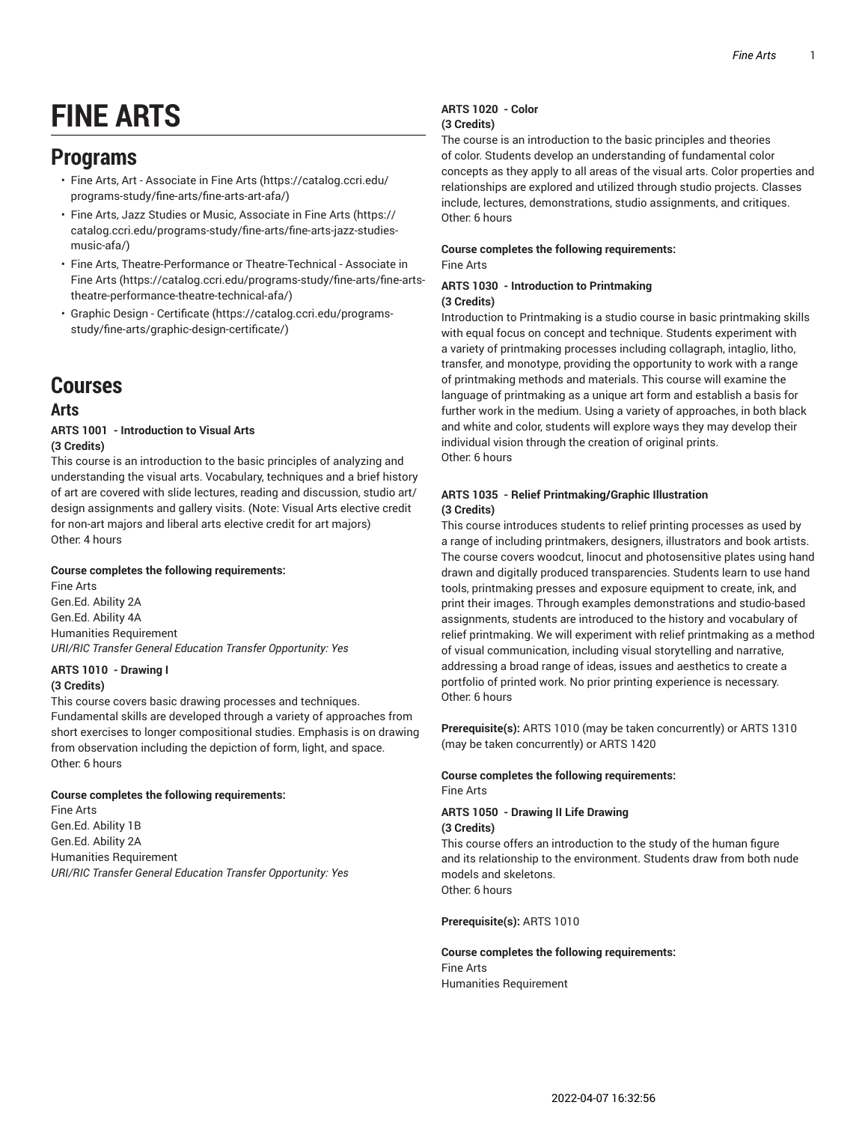# **FINE ARTS**

### **Programs**

- Fine Arts, Art [Associate](https://catalog.ccri.edu/programs-study/fine-arts/fine-arts-art-afa/) in Fine Arts ([https://catalog.ccri.edu/](https://catalog.ccri.edu/programs-study/fine-arts/fine-arts-art-afa/) [programs-study/fine-arts/fine-arts-art-afa/\)](https://catalog.ccri.edu/programs-study/fine-arts/fine-arts-art-afa/)
- Fine Arts, Jazz Studies or Music, [Associate](https://catalog.ccri.edu/programs-study/fine-arts/fine-arts-jazz-studies-music-afa/) in Fine Arts ([https://](https://catalog.ccri.edu/programs-study/fine-arts/fine-arts-jazz-studies-music-afa/) [catalog.ccri.edu/programs-study/fine-arts/fine-arts-jazz-studies](https://catalog.ccri.edu/programs-study/fine-arts/fine-arts-jazz-studies-music-afa/)[music-afa/](https://catalog.ccri.edu/programs-study/fine-arts/fine-arts-jazz-studies-music-afa/))
- Fine Arts, [Theatre-Performance](https://catalog.ccri.edu/programs-study/fine-arts/fine-arts-theatre-performance-theatre-technical-afa/) or Theatre-Technical Associate in [Fine](https://catalog.ccri.edu/programs-study/fine-arts/fine-arts-theatre-performance-theatre-technical-afa/) Arts ([https://catalog.ccri.edu/programs-study/fine-arts/fine-arts](https://catalog.ccri.edu/programs-study/fine-arts/fine-arts-theatre-performance-theatre-technical-afa/)[theatre-performance-theatre-technical-afa/\)](https://catalog.ccri.edu/programs-study/fine-arts/fine-arts-theatre-performance-theatre-technical-afa/)
- Graphic Design [Certificate \(https://catalog.ccri.edu/programs](https://catalog.ccri.edu/programs-study/fine-arts/graphic-design-certificate/)[study/fine-arts/graphic-design-certificate/](https://catalog.ccri.edu/programs-study/fine-arts/graphic-design-certificate/))

## **Courses**

### **Arts**

#### **ARTS 1001 - Introduction to Visual Arts (3 Credits)**

This course is an introduction to the basic principles of analyzing and understanding the visual arts. Vocabulary, techniques and a brief history of art are covered with slide lectures, reading and discussion, studio art/ design assignments and gallery visits. (Note: Visual Arts elective credit for non-art majors and liberal arts elective credit for art majors) Other: 4 hours

#### **Course completes the following requirements:**

Fine Arts Gen.Ed. Ability 2A Gen.Ed. Ability 4A Humanities Requirement *URI/RIC Transfer General Education Transfer Opportunity: Yes*

#### **ARTS 1010 - Drawing I**

#### **(3 Credits)**

This course covers basic drawing processes and techniques. Fundamental skills are developed through a variety of approaches from short exercises to longer compositional studies. Emphasis is on drawing from observation including the depiction of form, light, and space. Other: 6 hours

#### **Course completes the following requirements:**

Fine Arts Gen.Ed. Ability 1B Gen.Ed. Ability 2A Humanities Requirement *URI/RIC Transfer General Education Transfer Opportunity: Yes*

#### **ARTS 1020 - Color (3 Credits)**

The course is an introduction to the basic principles and theories of color. Students develop an understanding of fundamental color concepts as they apply to all areas of the visual arts. Color properties and relationships are explored and utilized through studio projects. Classes include, lectures, demonstrations, studio assignments, and critiques. Other: 6 hours

#### **Course completes the following requirements:** Fine Arts

#### **ARTS 1030 - Introduction to Printmaking (3 Credits)**

Introduction to Printmaking is a studio course in basic printmaking skills with equal focus on concept and technique. Students experiment with a variety of printmaking processes including collagraph, intaglio, litho, transfer, and monotype, providing the opportunity to work with a range of printmaking methods and materials. This course will examine the language of printmaking as a unique art form and establish a basis for further work in the medium. Using a variety of approaches, in both black and white and color, students will explore ways they may develop their individual vision through the creation of original prints. Other: 6 hours

#### **ARTS 1035 - Relief Printmaking/Graphic Illustration (3 Credits)**

This course introduces students to relief printing processes as used by a range of including printmakers, designers, illustrators and book artists. The course covers woodcut, linocut and photosensitive plates using hand drawn and digitally produced transparencies. Students learn to use hand tools, printmaking presses and exposure equipment to create, ink, and print their images. Through examples demonstrations and studio-based assignments, students are introduced to the history and vocabulary of relief printmaking. We will experiment with relief printmaking as a method of visual communication, including visual storytelling and narrative, addressing a broad range of ideas, issues and aesthetics to create a portfolio of printed work. No prior printing experience is necessary. Other: 6 hours

**Prerequisite(s):** ARTS 1010 (may be taken concurrently) or ARTS 1310 (may be taken concurrently) or ARTS 1420

### **Course completes the following requirements:**

Fine Arts

#### **ARTS 1050 - Drawing II Life Drawing (3 Credits)**

This course offers an introduction to the study of the human figure and its relationship to the environment. Students draw from both nude models and skeletons. Other: 6 hours

#### **Prerequisite(s):** ARTS 1010

#### **Course completes the following requirements:** Fine Arts Humanities Requirement

2022-04-07 16:32:56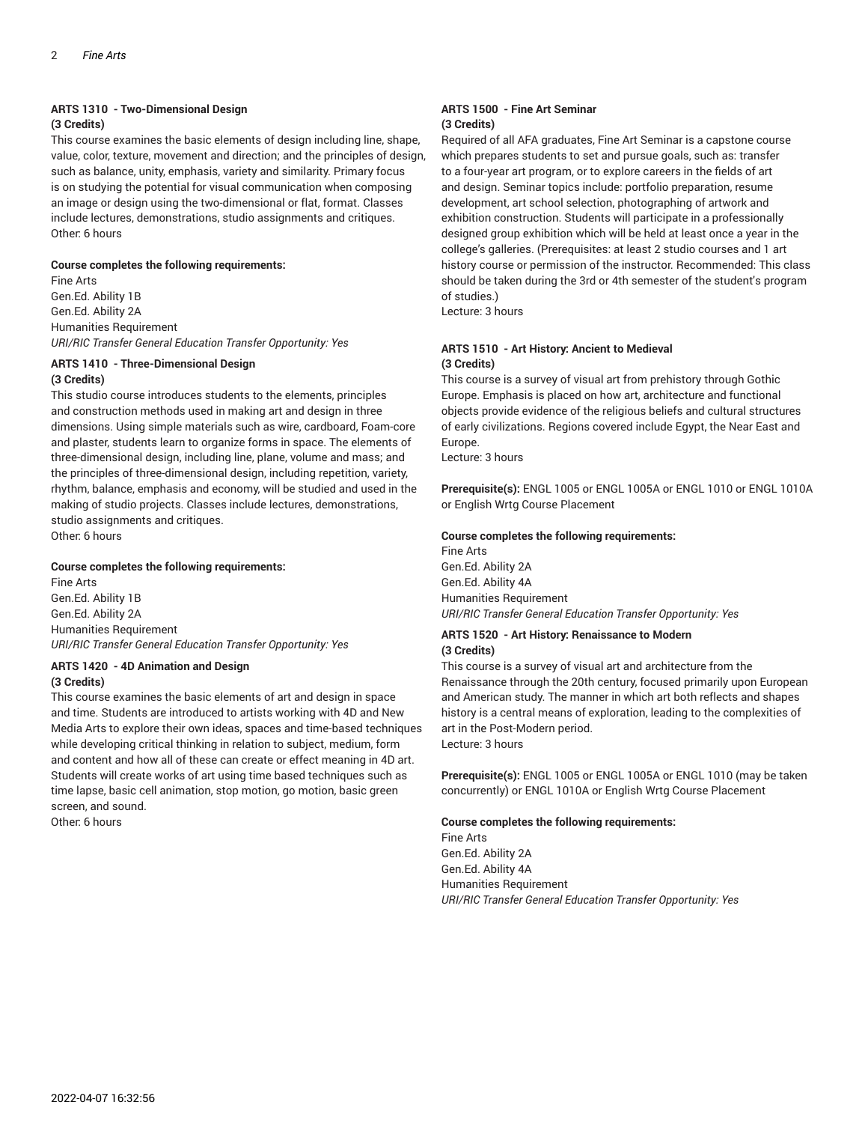### **ARTS 1310 - Two-Dimensional Design**

#### **(3 Credits)**

This course examines the basic elements of design including line, shape, value, color, texture, movement and direction; and the principles of design, such as balance, unity, emphasis, variety and similarity. Primary focus is on studying the potential for visual communication when composing an image or design using the two-dimensional or flat, format. Classes include lectures, demonstrations, studio assignments and critiques. Other: 6 hours

#### **Course completes the following requirements:**

Fine Arts Gen.Ed. Ability 1B Gen.Ed. Ability 2A Humanities Requirement *URI/RIC Transfer General Education Transfer Opportunity: Yes*

#### **ARTS 1410 - Three-Dimensional Design**

#### **(3 Credits)**

This studio course introduces students to the elements, principles and construction methods used in making art and design in three dimensions. Using simple materials such as wire, cardboard, Foam-core and plaster, students learn to organize forms in space. The elements of three-dimensional design, including line, plane, volume and mass; and the principles of three-dimensional design, including repetition, variety, rhythm, balance, emphasis and economy, will be studied and used in the making of studio projects. Classes include lectures, demonstrations, studio assignments and critiques. Other: 6 hours

#### **Course completes the following requirements:**

Fine Arts Gen.Ed. Ability 1B Gen.Ed. Ability 2A Humanities Requirement *URI/RIC Transfer General Education Transfer Opportunity: Yes*

#### **ARTS 1420 - 4D Animation and Design**

#### **(3 Credits)**

This course examines the basic elements of art and design in space and time. Students are introduced to artists working with 4D and New Media Arts to explore their own ideas, spaces and time-based techniques while developing critical thinking in relation to subject, medium, form and content and how all of these can create or effect meaning in 4D art. Students will create works of art using time based techniques such as time lapse, basic cell animation, stop motion, go motion, basic green screen, and sound.

Other: 6 hours

#### **ARTS 1500 - Fine Art Seminar (3 Credits)**

Required of all AFA graduates, Fine Art Seminar is a capstone course which prepares students to set and pursue goals, such as: transfer to a four-year art program, or to explore careers in the fields of art and design. Seminar topics include: portfolio preparation, resume development, art school selection, photographing of artwork and exhibition construction. Students will participate in a professionally designed group exhibition which will be held at least once a year in the college's galleries. (Prerequisites: at least 2 studio courses and 1 art history course or permission of the instructor. Recommended: This class should be taken during the 3rd or 4th semester of the student's program of studies.)

Lecture: 3 hours

#### **ARTS 1510 - Art History: Ancient to Medieval (3 Credits)**

This course is a survey of visual art from prehistory through Gothic Europe. Emphasis is placed on how art, architecture and functional objects provide evidence of the religious beliefs and cultural structures of early civilizations. Regions covered include Egypt, the Near East and Europe.

Lecture: 3 hours

**Prerequisite(s):** ENGL 1005 or ENGL 1005A or ENGL 1010 or ENGL 1010A or English Wrtg Course Placement

#### **Course completes the following requirements:**

Fine Arts Gen.Ed. Ability 2A Gen.Ed. Ability 4A Humanities Requirement *URI/RIC Transfer General Education Transfer Opportunity: Yes*

#### **ARTS 1520 - Art History: Renaissance to Modern (3 Credits)**

This course is a survey of visual art and architecture from the Renaissance through the 20th century, focused primarily upon European and American study. The manner in which art both reflects and shapes history is a central means of exploration, leading to the complexities of art in the Post-Modern period. Lecture: 3 hours

**Prerequisite(s):** ENGL 1005 or ENGL 1005A or ENGL 1010 (may be taken concurrently) or ENGL 1010A or English Wrtg Course Placement

#### **Course completes the following requirements:**

Fine Arts Gen.Ed. Ability 2A Gen.Ed. Ability 4A Humanities Requirement *URI/RIC Transfer General Education Transfer Opportunity: Yes*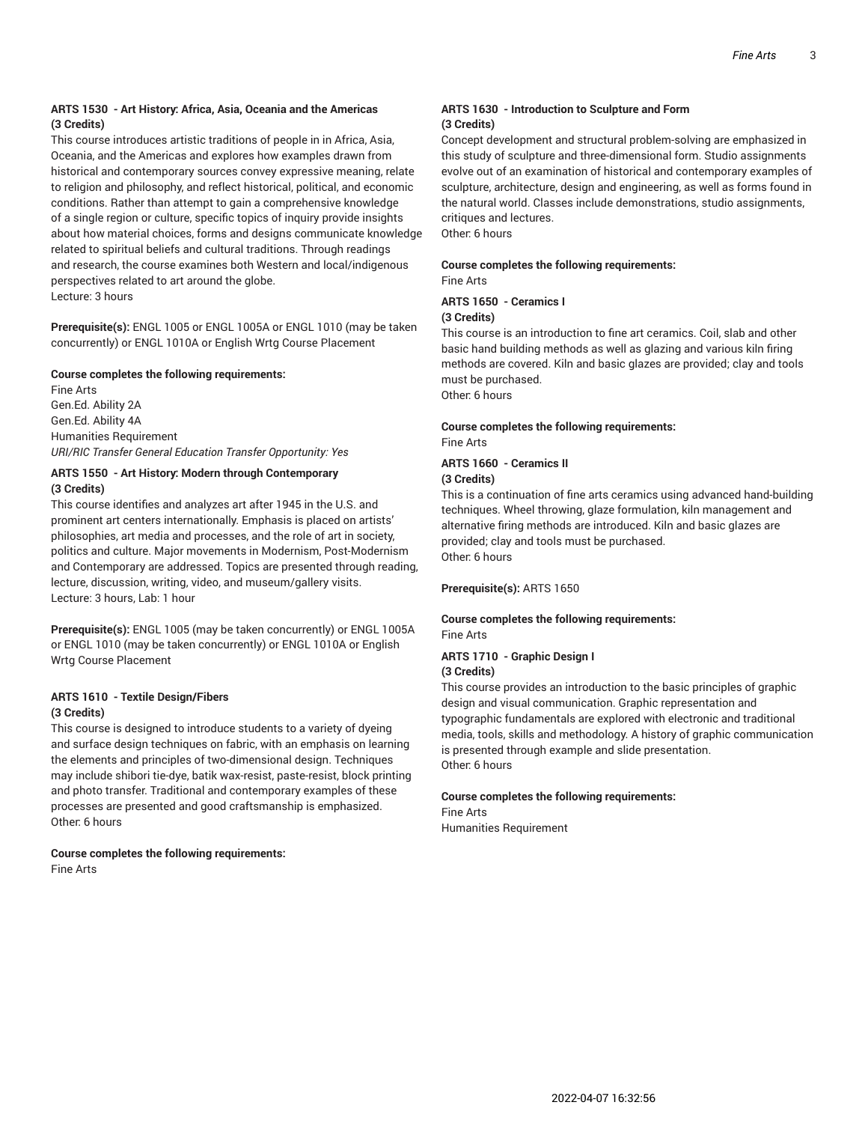#### **ARTS 1530 - Art History: Africa, Asia, Oceania and the Americas (3 Credits)**

This course introduces artistic traditions of people in in Africa, Asia, Oceania, and the Americas and explores how examples drawn from historical and contemporary sources convey expressive meaning, relate to religion and philosophy, and reflect historical, political, and economic conditions. Rather than attempt to gain a comprehensive knowledge of a single region or culture, specific topics of inquiry provide insights about how material choices, forms and designs communicate knowledge related to spiritual beliefs and cultural traditions. Through readings and research, the course examines both Western and local/indigenous perspectives related to art around the globe. Lecture: 3 hours

**Prerequisite(s):** ENGL 1005 or ENGL 1005A or ENGL 1010 (may be taken concurrently) or ENGL 1010A or English Wrtg Course Placement

#### **Course completes the following requirements:**

Fine Arts Gen.Ed. Ability 2A Gen.Ed. Ability 4A Humanities Requirement *URI/RIC Transfer General Education Transfer Opportunity: Yes*

#### **ARTS 1550 - Art History: Modern through Contemporary (3 Credits)**

This course identifies and analyzes art after 1945 in the U.S. and prominent art centers internationally. Emphasis is placed on artists' philosophies, art media and processes, and the role of art in society, politics and culture. Major movements in Modernism, Post-Modernism and Contemporary are addressed. Topics are presented through reading, lecture, discussion, writing, video, and museum/gallery visits. Lecture: 3 hours, Lab: 1 hour

**Prerequisite(s):** ENGL 1005 (may be taken concurrently) or ENGL 1005A or ENGL 1010 (may be taken concurrently) or ENGL 1010A or English Wrtg Course Placement

#### **ARTS 1610 - Textile Design/Fibers (3 Credits)**

This course is designed to introduce students to a variety of dyeing and surface design techniques on fabric, with an emphasis on learning the elements and principles of two-dimensional design. Techniques may include shibori tie-dye, batik wax-resist, paste-resist, block printing and photo transfer. Traditional and contemporary examples of these processes are presented and good craftsmanship is emphasized. Other: 6 hours

#### **Course completes the following requirements:** Fine Arts

#### **ARTS 1630 - Introduction to Sculpture and Form (3 Credits)**

Concept development and structural problem-solving are emphasized in this study of sculpture and three-dimensional form. Studio assignments evolve out of an examination of historical and contemporary examples of sculpture, architecture, design and engineering, as well as forms found in the natural world. Classes include demonstrations, studio assignments, critiques and lectures.

Other: 6 hours

#### **Course completes the following requirements:** Fine Arts

#### **ARTS 1650 - Ceramics I (3 Credits)**

This course is an introduction to fine art ceramics. Coil, slab and other basic hand building methods as well as glazing and various kiln firing methods are covered. Kiln and basic glazes are provided; clay and tools must be purchased. Other: 6 hours

#### **Course completes the following requirements:** Fine Arts

### **ARTS 1660 - Ceramics II**

#### **(3 Credits)**

This is a continuation of fine arts ceramics using advanced hand-building techniques. Wheel throwing, glaze formulation, kiln management and alternative firing methods are introduced. Kiln and basic glazes are provided; clay and tools must be purchased. Other: 6 hours

#### **Prerequisite(s):** ARTS 1650

#### **Course completes the following requirements:** Fine Arts

#### **ARTS 1710 - Graphic Design I (3 Credits)**

This course provides an introduction to the basic principles of graphic design and visual communication. Graphic representation and typographic fundamentals are explored with electronic and traditional media, tools, skills and methodology. A history of graphic communication is presented through example and slide presentation. Other: 6 hours

#### **Course completes the following requirements:**

Fine Arts Humanities Requirement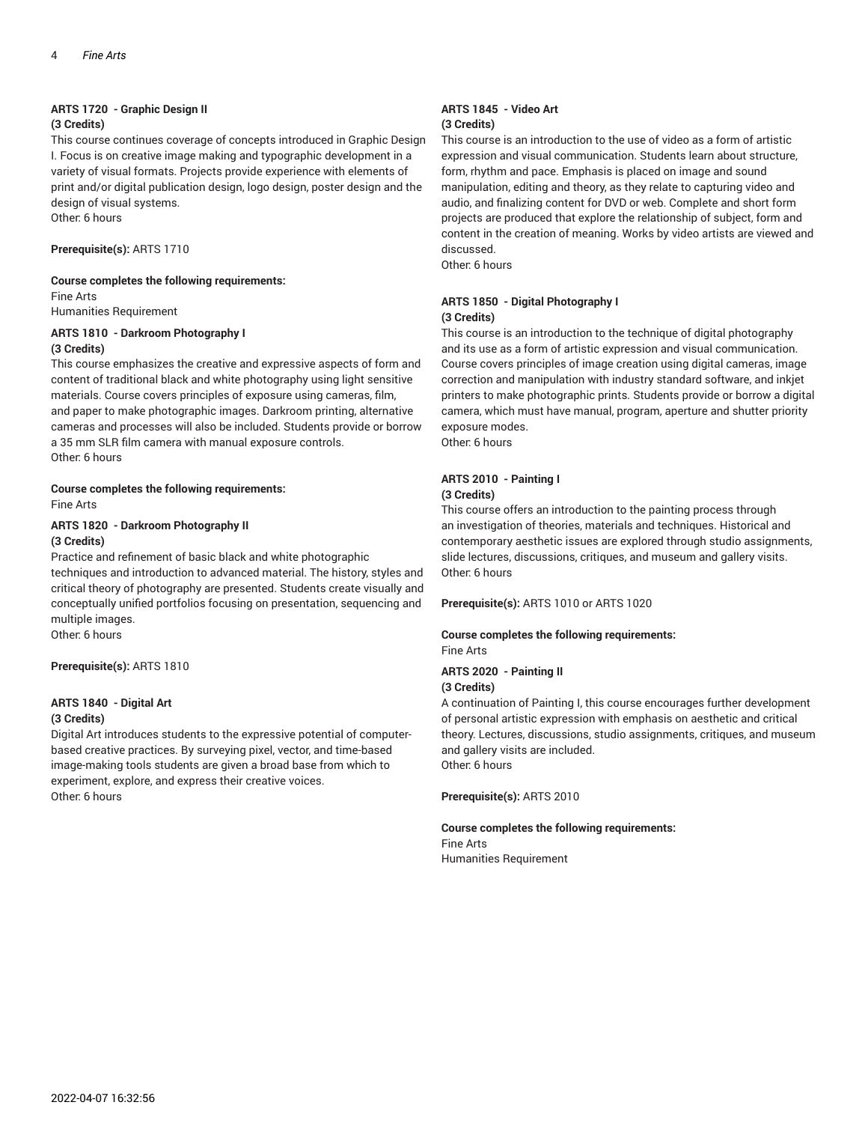#### **ARTS 1720 - Graphic Design II (3 Credits)**

This course continues coverage of concepts introduced in Graphic Design I. Focus is on creative image making and typographic development in a variety of visual formats. Projects provide experience with elements of print and/or digital publication design, logo design, poster design and the design of visual systems.

Other: 6 hours

**Prerequisite(s):** ARTS 1710

#### **Course completes the following requirements:**

Fine Arts

Humanities Requirement

#### **ARTS 1810 - Darkroom Photography I (3 Credits)**

This course emphasizes the creative and expressive aspects of form and content of traditional black and white photography using light sensitive materials. Course covers principles of exposure using cameras, film, and paper to make photographic images. Darkroom printing, alternative cameras and processes will also be included. Students provide or borrow a 35 mm SLR film camera with manual exposure controls. Other: 6 hours

#### **Course completes the following requirements:** Fine Arts

#### **ARTS 1820 - Darkroom Photography II (3 Credits)**

Practice and refinement of basic black and white photographic techniques and introduction to advanced material. The history, styles and critical theory of photography are presented. Students create visually and conceptually unified portfolios focusing on presentation, sequencing and multiple images.

Other: 6 hours

**Prerequisite(s):** ARTS 1810

### **ARTS 1840 - Digital Art**

#### **(3 Credits)**

Digital Art introduces students to the expressive potential of computerbased creative practices. By surveying pixel, vector, and time-based image-making tools students are given a broad base from which to experiment, explore, and express their creative voices. Other: 6 hours

#### **ARTS 1845 - Video Art (3 Credits)**

This course is an introduction to the use of video as a form of artistic expression and visual communication. Students learn about structure, form, rhythm and pace. Emphasis is placed on image and sound manipulation, editing and theory, as they relate to capturing video and audio, and finalizing content for DVD or web. Complete and short form projects are produced that explore the relationship of subject, form and content in the creation of meaning. Works by video artists are viewed and discussed.

Other: 6 hours

#### **ARTS 1850 - Digital Photography I (3 Credits)**

This course is an introduction to the technique of digital photography and its use as a form of artistic expression and visual communication. Course covers principles of image creation using digital cameras, image correction and manipulation with industry standard software, and inkjet printers to make photographic prints. Students provide or borrow a digital camera, which must have manual, program, aperture and shutter priority exposure modes.

Other: 6 hours

### **ARTS 2010 - Painting I**

#### **(3 Credits)**

This course offers an introduction to the painting process through an investigation of theories, materials and techniques. Historical and contemporary aesthetic issues are explored through studio assignments, slide lectures, discussions, critiques, and museum and gallery visits. Other: 6 hours

#### **Prerequisite(s):** ARTS 1010 or ARTS 1020

#### **Course completes the following requirements:** Fine Arts

#### **ARTS 2020 - Painting II (3 Credits)**

A continuation of Painting I, this course encourages further development of personal artistic expression with emphasis on aesthetic and critical theory. Lectures, discussions, studio assignments, critiques, and museum and gallery visits are included. Other: 6 hours

**Prerequisite(s):** ARTS 2010

#### **Course completes the following requirements:**

Fine Arts Humanities Requirement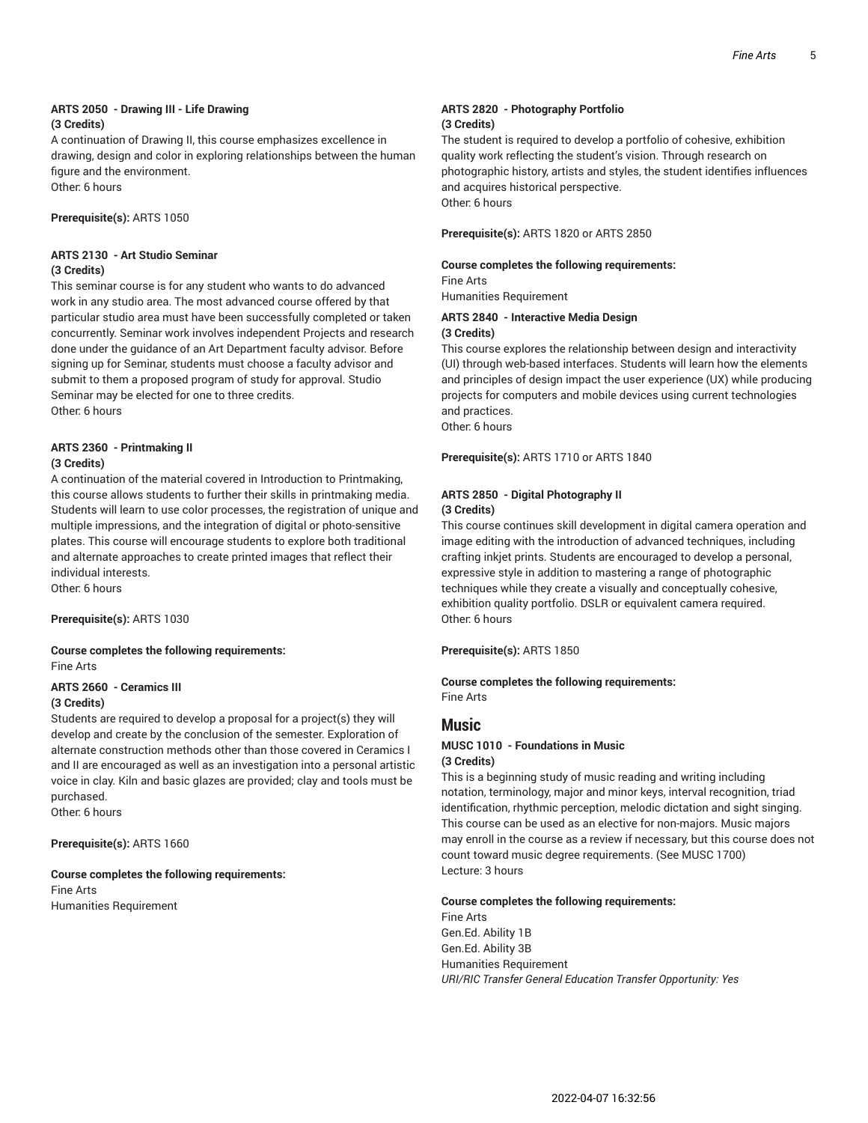#### **ARTS 2050 - Drawing III - Life Drawing (3 Credits)**

A continuation of Drawing II, this course emphasizes excellence in drawing, design and color in exploring relationships between the human figure and the environment.

Other: 6 hours

**Prerequisite(s):** ARTS 1050

#### **ARTS 2130 - Art Studio Seminar (3 Credits)**

This seminar course is for any student who wants to do advanced work in any studio area. The most advanced course offered by that particular studio area must have been successfully completed or taken concurrently. Seminar work involves independent Projects and research done under the guidance of an Art Department faculty advisor. Before signing up for Seminar, students must choose a faculty advisor and submit to them a proposed program of study for approval. Studio Seminar may be elected for one to three credits. Other: 6 hours

#### **ARTS 2360 - Printmaking II (3 Credits)**

A continuation of the material covered in Introduction to Printmaking, this course allows students to further their skills in printmaking media. Students will learn to use color processes, the registration of unique and multiple impressions, and the integration of digital or photo-sensitive plates. This course will encourage students to explore both traditional and alternate approaches to create printed images that reflect their individual interests.

Other: 6 hours

**Prerequisite(s):** ARTS 1030

**Course completes the following requirements:** Fine Arts

#### **ARTS 2660 - Ceramics III (3 Credits)**

Students are required to develop a proposal for a project(s) they will develop and create by the conclusion of the semester. Exploration of alternate construction methods other than those covered in Ceramics I and II are encouraged as well as an investigation into a personal artistic voice in clay. Kiln and basic glazes are provided; clay and tools must be purchased.

Other: 6 hours

**Prerequisite(s):** ARTS 1660

#### **Course completes the following requirements:** Fine Arts

Humanities Requirement

#### **ARTS 2820 - Photography Portfolio (3 Credits)**

The student is required to develop a portfolio of cohesive, exhibition quality work reflecting the student's vision. Through research on photographic history, artists and styles, the student identifies influences and acquires historical perspective. Other: 6 hours

**Prerequisite(s):** ARTS 1820 or ARTS 2850

#### **Course completes the following requirements:**

Fine Arts Humanities Requirement

#### **ARTS 2840 - Interactive Media Design (3 Credits)**

This course explores the relationship between design and interactivity (UI) through web-based interfaces. Students will learn how the elements and principles of design impact the user experience (UX) while producing projects for computers and mobile devices using current technologies and practices.

Other: 6 hours

**Prerequisite(s):** ARTS 1710 or ARTS 1840

#### **ARTS 2850 - Digital Photography II (3 Credits)**

This course continues skill development in digital camera operation and image editing with the introduction of advanced techniques, including crafting inkjet prints. Students are encouraged to develop a personal, expressive style in addition to mastering a range of photographic techniques while they create a visually and conceptually cohesive, exhibition quality portfolio. DSLR or equivalent camera required. Other: 6 hours

**Prerequisite(s):** ARTS 1850

**Course completes the following requirements:** Fine Arts

#### **Music**

#### **MUSC 1010 - Foundations in Music (3 Credits)**

This is a beginning study of music reading and writing including notation, terminology, major and minor keys, interval recognition, triad identification, rhythmic perception, melodic dictation and sight singing. This course can be used as an elective for non-majors. Music majors may enroll in the course as a review if necessary, but this course does not count toward music degree requirements. (See MUSC 1700) Lecture: 3 hours

#### **Course completes the following requirements:**

Fine Arts Gen.Ed. Ability 1B Gen.Ed. Ability 3B Humanities Requirement *URI/RIC Transfer General Education Transfer Opportunity: Yes*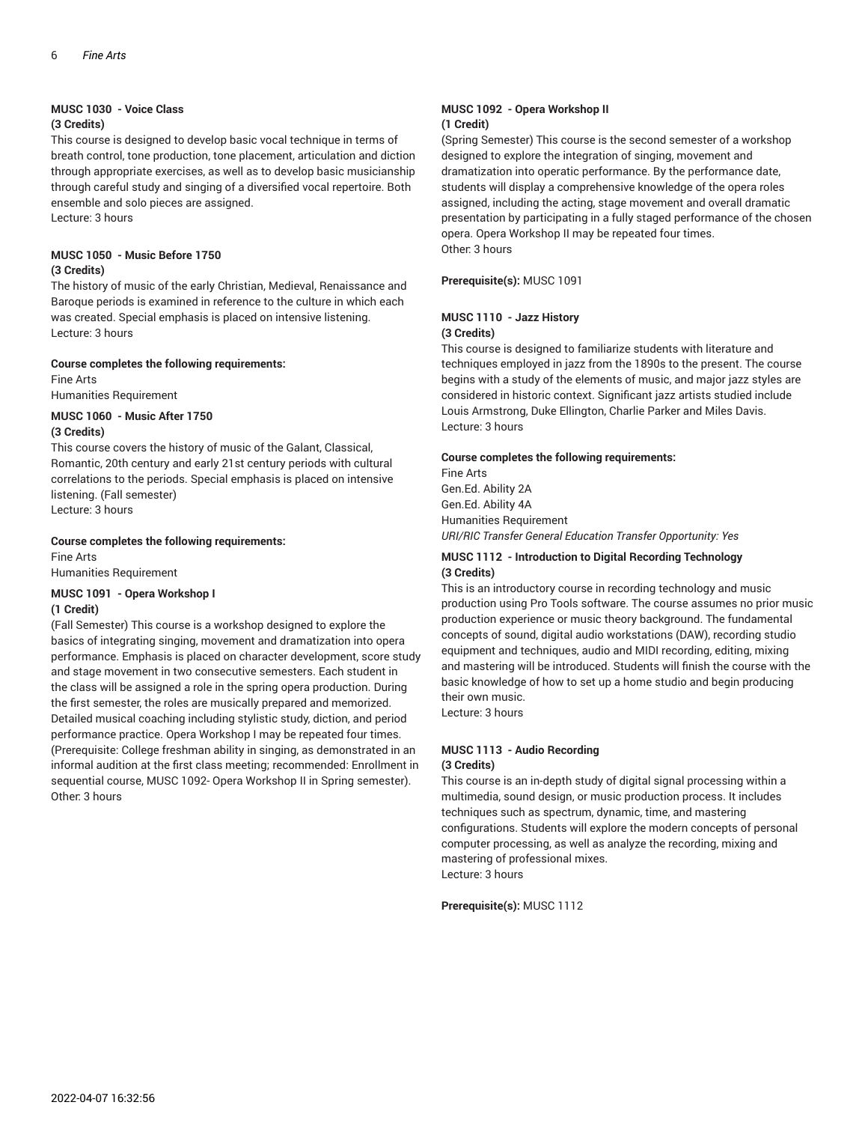#### **MUSC 1030 - Voice Class**

#### **(3 Credits)**

This course is designed to develop basic vocal technique in terms of breath control, tone production, tone placement, articulation and diction through appropriate exercises, as well as to develop basic musicianship through careful study and singing of a diversified vocal repertoire. Both ensemble and solo pieces are assigned.

Lecture: 3 hours

#### **MUSC 1050 - Music Before 1750 (3 Credits)**

The history of music of the early Christian, Medieval, Renaissance and Baroque periods is examined in reference to the culture in which each was created. Special emphasis is placed on intensive listening. Lecture: 3 hours

#### **Course completes the following requirements:**

Fine Arts Humanities Requirement

### **MUSC 1060 - Music After 1750**

**(3 Credits)**

This course covers the history of music of the Galant, Classical, Romantic, 20th century and early 21st century periods with cultural correlations to the periods. Special emphasis is placed on intensive listening. (Fall semester) Lecture: 3 hours

#### **Course completes the following requirements:**

Fine Arts Humanities Requirement

#### **MUSC 1091 - Opera Workshop I (1 Credit)**

(Fall Semester) This course is a workshop designed to explore the basics of integrating singing, movement and dramatization into opera performance. Emphasis is placed on character development, score study and stage movement in two consecutive semesters. Each student in the class will be assigned a role in the spring opera production. During the first semester, the roles are musically prepared and memorized. Detailed musical coaching including stylistic study, diction, and period performance practice. Opera Workshop I may be repeated four times. (Prerequisite: College freshman ability in singing, as demonstrated in an informal audition at the first class meeting; recommended: Enrollment in sequential course, MUSC 1092- Opera Workshop II in Spring semester). Other: 3 hours

#### **MUSC 1092 - Opera Workshop II (1 Credit)**

(Spring Semester) This course is the second semester of a workshop designed to explore the integration of singing, movement and dramatization into operatic performance. By the performance date, students will display a comprehensive knowledge of the opera roles assigned, including the acting, stage movement and overall dramatic presentation by participating in a fully staged performance of the chosen opera. Opera Workshop II may be repeated four times. Other: 3 hours

**Prerequisite(s):** MUSC 1091

#### **MUSC 1110 - Jazz History (3 Credits)**

This course is designed to familiarize students with literature and techniques employed in jazz from the 1890s to the present. The course begins with a study of the elements of music, and major jazz styles are considered in historic context. Significant jazz artists studied include Louis Armstrong, Duke Ellington, Charlie Parker and Miles Davis. Lecture: 3 hours

#### **Course completes the following requirements:**

Fine Arts Gen.Ed. Ability 2A Gen.Ed. Ability 4A Humanities Requirement *URI/RIC Transfer General Education Transfer Opportunity: Yes*

#### **MUSC 1112 - Introduction to Digital Recording Technology (3 Credits)**

This is an introductory course in recording technology and music production using Pro Tools software. The course assumes no prior music production experience or music theory background. The fundamental concepts of sound, digital audio workstations (DAW), recording studio equipment and techniques, audio and MIDI recording, editing, mixing and mastering will be introduced. Students will finish the course with the basic knowledge of how to set up a home studio and begin producing their own music.

Lecture: 3 hours

#### **MUSC 1113 - Audio Recording (3 Credits)**

This course is an in-depth study of digital signal processing within a multimedia, sound design, or music production process. It includes techniques such as spectrum, dynamic, time, and mastering configurations. Students will explore the modern concepts of personal computer processing, as well as analyze the recording, mixing and mastering of professional mixes. Lecture: 3 hours

**Prerequisite(s):** MUSC 1112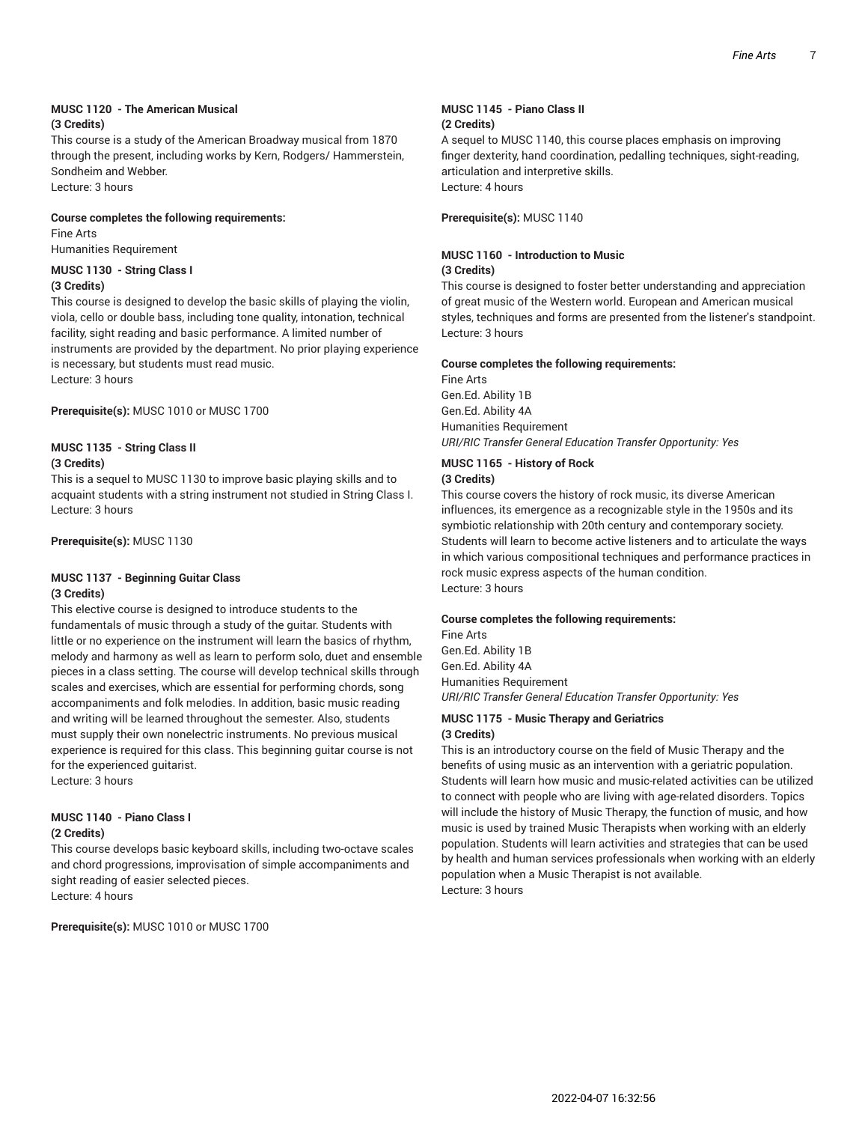#### **MUSC 1120 - The American Musical (3 Credits)**

This course is a study of the American Broadway musical from 1870 through the present, including works by Kern, Rodgers/ Hammerstein, Sondheim and Webber.

Lecture: 3 hours

#### **Course completes the following requirements:**

Fine Arts Humanities Requirement

#### **MUSC 1130 - String Class I**

#### **(3 Credits)**

This course is designed to develop the basic skills of playing the violin, viola, cello or double bass, including tone quality, intonation, technical facility, sight reading and basic performance. A limited number of instruments are provided by the department. No prior playing experience is necessary, but students must read music. Lecture: 3 hours

**Prerequisite(s):** MUSC 1010 or MUSC 1700

#### **MUSC 1135 - String Class II**

#### **(3 Credits)**

This is a sequel to MUSC 1130 to improve basic playing skills and to acquaint students with a string instrument not studied in String Class I. Lecture: 3 hours

**Prerequisite(s):** MUSC 1130

#### **MUSC 1137 - Beginning Guitar Class (3 Credits)**

This elective course is designed to introduce students to the fundamentals of music through a study of the guitar. Students with little or no experience on the instrument will learn the basics of rhythm, melody and harmony as well as learn to perform solo, duet and ensemble pieces in a class setting. The course will develop technical skills through scales and exercises, which are essential for performing chords, song accompaniments and folk melodies. In addition, basic music reading and writing will be learned throughout the semester. Also, students must supply their own nonelectric instruments. No previous musical experience is required for this class. This beginning guitar course is not for the experienced guitarist. Lecture: 3 hours

#### **MUSC 1140 - Piano Class I (2 Credits)**

This course develops basic keyboard skills, including two-octave scales and chord progressions, improvisation of simple accompaniments and sight reading of easier selected pieces. Lecture: 4 hours

**Prerequisite(s):** MUSC 1010 or MUSC 1700

#### **MUSC 1145 - Piano Class II (2 Credits)**

A sequel to MUSC 1140, this course places emphasis on improving finger dexterity, hand coordination, pedalling techniques, sight-reading, articulation and interpretive skills. Lecture: 4 hours

**Prerequisite(s):** MUSC 1140

#### **MUSC 1160 - Introduction to Music (3 Credits)**

This course is designed to foster better understanding and appreciation of great music of the Western world. European and American musical styles, techniques and forms are presented from the listener's standpoint. Lecture: 3 hours

#### **Course completes the following requirements:**

Fine Arts Gen.Ed. Ability 1B Gen.Ed. Ability 4A Humanities Requirement *URI/RIC Transfer General Education Transfer Opportunity: Yes*

#### **MUSC 1165 - History of Rock (3 Credits)**

This course covers the history of rock music, its diverse American influences, its emergence as a recognizable style in the 1950s and its symbiotic relationship with 20th century and contemporary society. Students will learn to become active listeners and to articulate the ways in which various compositional techniques and performance practices in rock music express aspects of the human condition. Lecture: 3 hours

#### **Course completes the following requirements:**

Fine Arts Gen.Ed. Ability 1B Gen.Ed. Ability 4A Humanities Requirement *URI/RIC Transfer General Education Transfer Opportunity: Yes*

#### **MUSC 1175 - Music Therapy and Geriatrics (3 Credits)**

This is an introductory course on the field of Music Therapy and the benefits of using music as an intervention with a geriatric population. Students will learn how music and music-related activities can be utilized to connect with people who are living with age-related disorders. Topics will include the history of Music Therapy, the function of music, and how music is used by trained Music Therapists when working with an elderly population. Students will learn activities and strategies that can be used by health and human services professionals when working with an elderly population when a Music Therapist is not available. Lecture: 3 hours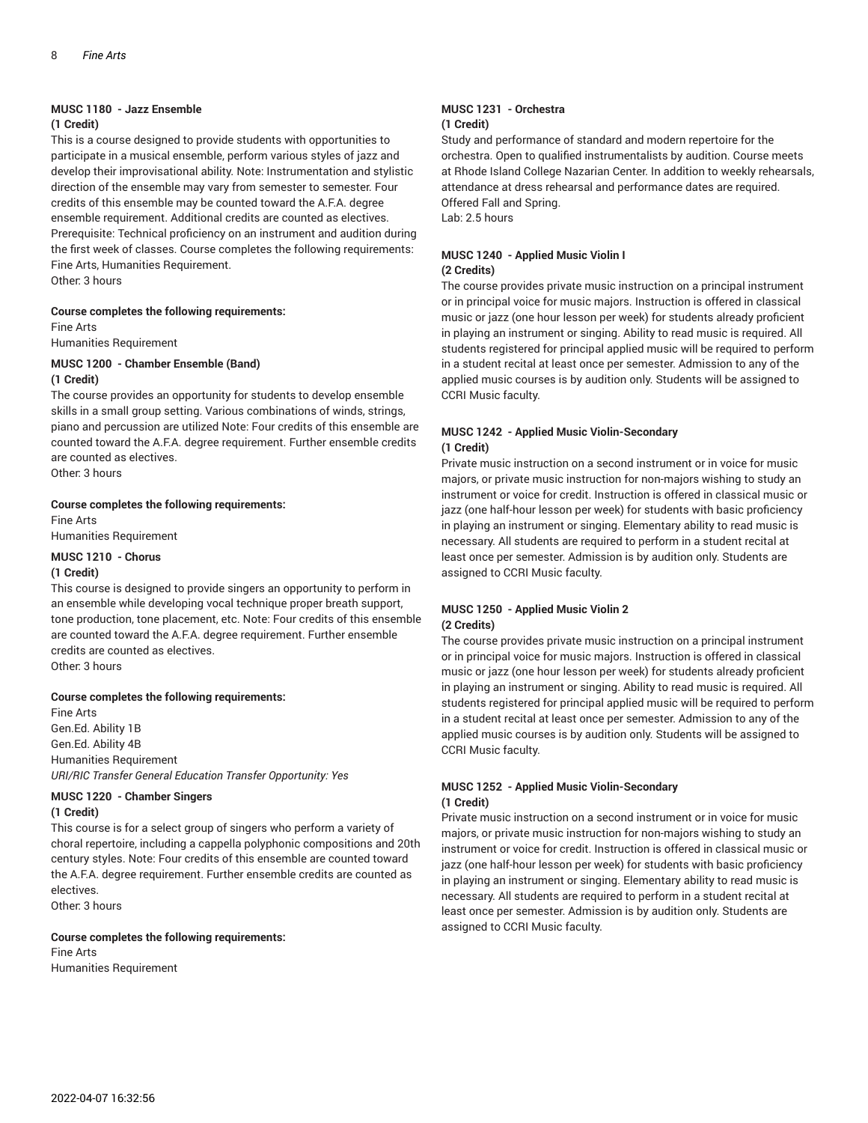#### **MUSC 1180 - Jazz Ensemble**

#### **(1 Credit)**

This is a course designed to provide students with opportunities to participate in a musical ensemble, perform various styles of jazz and develop their improvisational ability. Note: Instrumentation and stylistic direction of the ensemble may vary from semester to semester. Four credits of this ensemble may be counted toward the A.F.A. degree ensemble requirement. Additional credits are counted as electives. Prerequisite: Technical proficiency on an instrument and audition during the first week of classes. Course completes the following requirements: Fine Arts, Humanities Requirement.

Other: 3 hours

#### **Course completes the following requirements:**

Fine Arts Humanities Requirement

#### **MUSC 1200 - Chamber Ensemble (Band)**

#### **(1 Credit)**

The course provides an opportunity for students to develop ensemble skills in a small group setting. Various combinations of winds, strings, piano and percussion are utilized Note: Four credits of this ensemble are counted toward the A.F.A. degree requirement. Further ensemble credits are counted as electives.

Other: 3 hours

#### **Course completes the following requirements:**

Fine Arts Humanities Requirement

#### **MUSC 1210 - Chorus**

#### **(1 Credit)**

This course is designed to provide singers an opportunity to perform in an ensemble while developing vocal technique proper breath support, tone production, tone placement, etc. Note: Four credits of this ensemble are counted toward the A.F.A. degree requirement. Further ensemble credits are counted as electives. Other: 3 hours

#### **Course completes the following requirements:**

Fine Arts Gen.Ed. Ability 1B Gen.Ed. Ability 4B Humanities Requirement *URI/RIC Transfer General Education Transfer Opportunity: Yes*

#### **MUSC 1220 - Chamber Singers**

#### **(1 Credit)**

This course is for a select group of singers who perform a variety of choral repertoire, including a cappella polyphonic compositions and 20th century styles. Note: Four credits of this ensemble are counted toward the A.F.A. degree requirement. Further ensemble credits are counted as electives.

Other: 3 hours

#### **Course completes the following requirements:**

Fine Arts Humanities Requirement

#### **MUSC 1231 - Orchestra (1 Credit)**

Study and performance of standard and modern repertoire for the orchestra. Open to qualified instrumentalists by audition. Course meets at Rhode Island College Nazarian Center. In addition to weekly rehearsals, attendance at dress rehearsal and performance dates are required. Offered Fall and Spring. Lab: 2.5 hours

#### **MUSC 1240 - Applied Music Violin I (2 Credits)**

The course provides private music instruction on a principal instrument or in principal voice for music majors. Instruction is offered in classical music or jazz (one hour lesson per week) for students already proficient in playing an instrument or singing. Ability to read music is required. All students registered for principal applied music will be required to perform in a student recital at least once per semester. Admission to any of the applied music courses is by audition only. Students will be assigned to CCRI Music faculty.

#### **MUSC 1242 - Applied Music Violin-Secondary (1 Credit)**

Private music instruction on a second instrument or in voice for music majors, or private music instruction for non-majors wishing to study an instrument or voice for credit. Instruction is offered in classical music or jazz (one half-hour lesson per week) for students with basic proficiency in playing an instrument or singing. Elementary ability to read music is necessary. All students are required to perform in a student recital at least once per semester. Admission is by audition only. Students are assigned to CCRI Music faculty.

#### **MUSC 1250 - Applied Music Violin 2 (2 Credits)**

The course provides private music instruction on a principal instrument or in principal voice for music majors. Instruction is offered in classical music or jazz (one hour lesson per week) for students already proficient in playing an instrument or singing. Ability to read music is required. All students registered for principal applied music will be required to perform in a student recital at least once per semester. Admission to any of the applied music courses is by audition only. Students will be assigned to CCRI Music faculty.

#### **MUSC 1252 - Applied Music Violin-Secondary (1 Credit)**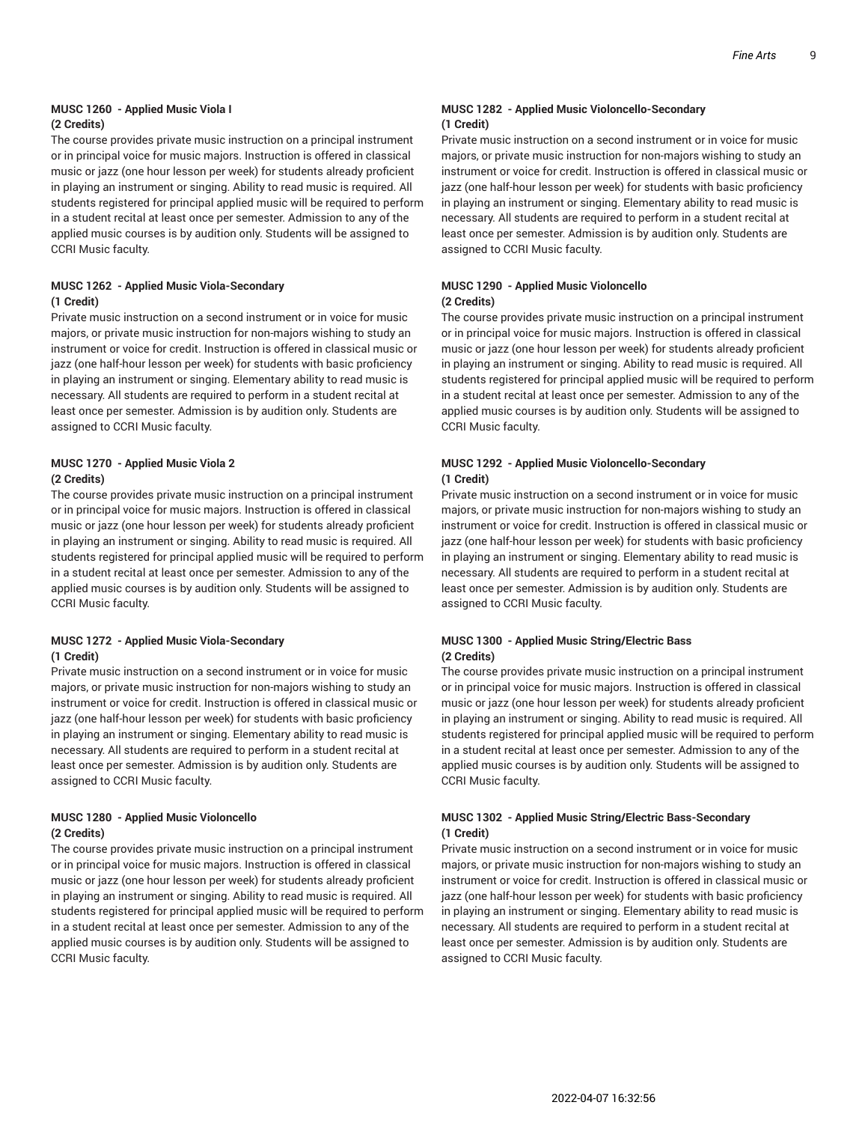#### **MUSC 1260 - Applied Music Viola I (2 Credits)**

The course provides private music instruction on a principal instrument or in principal voice for music majors. Instruction is offered in classical music or jazz (one hour lesson per week) for students already proficient in playing an instrument or singing. Ability to read music is required. All students registered for principal applied music will be required to perform in a student recital at least once per semester. Admission to any of the applied music courses is by audition only. Students will be assigned to CCRI Music faculty.

#### **MUSC 1262 - Applied Music Viola-Secondary (1 Credit)**

Private music instruction on a second instrument or in voice for music majors, or private music instruction for non-majors wishing to study an instrument or voice for credit. Instruction is offered in classical music or jazz (one half-hour lesson per week) for students with basic proficiency in playing an instrument or singing. Elementary ability to read music is necessary. All students are required to perform in a student recital at least once per semester. Admission is by audition only. Students are assigned to CCRI Music faculty.

#### **MUSC 1270 - Applied Music Viola 2 (2 Credits)**

The course provides private music instruction on a principal instrument or in principal voice for music majors. Instruction is offered in classical music or jazz (one hour lesson per week) for students already proficient in playing an instrument or singing. Ability to read music is required. All students registered for principal applied music will be required to perform in a student recital at least once per semester. Admission to any of the applied music courses is by audition only. Students will be assigned to CCRI Music faculty.

#### **MUSC 1272 - Applied Music Viola-Secondary (1 Credit)**

Private music instruction on a second instrument or in voice for music majors, or private music instruction for non-majors wishing to study an instrument or voice for credit. Instruction is offered in classical music or jazz (one half-hour lesson per week) for students with basic proficiency in playing an instrument or singing. Elementary ability to read music is necessary. All students are required to perform in a student recital at least once per semester. Admission is by audition only. Students are assigned to CCRI Music faculty.

#### **MUSC 1280 - Applied Music Violoncello (2 Credits)**

The course provides private music instruction on a principal instrument or in principal voice for music majors. Instruction is offered in classical music or jazz (one hour lesson per week) for students already proficient in playing an instrument or singing. Ability to read music is required. All students registered for principal applied music will be required to perform in a student recital at least once per semester. Admission to any of the applied music courses is by audition only. Students will be assigned to CCRI Music faculty.

#### **MUSC 1282 - Applied Music Violoncello-Secondary (1 Credit)**

Private music instruction on a second instrument or in voice for music majors, or private music instruction for non-majors wishing to study an instrument or voice for credit. Instruction is offered in classical music or jazz (one half-hour lesson per week) for students with basic proficiency in playing an instrument or singing. Elementary ability to read music is necessary. All students are required to perform in a student recital at least once per semester. Admission is by audition only. Students are assigned to CCRI Music faculty.

#### **MUSC 1290 - Applied Music Violoncello (2 Credits)**

The course provides private music instruction on a principal instrument or in principal voice for music majors. Instruction is offered in classical music or jazz (one hour lesson per week) for students already proficient in playing an instrument or singing. Ability to read music is required. All students registered for principal applied music will be required to perform in a student recital at least once per semester. Admission to any of the applied music courses is by audition only. Students will be assigned to CCRI Music faculty.

#### **MUSC 1292 - Applied Music Violoncello-Secondary (1 Credit)**

Private music instruction on a second instrument or in voice for music majors, or private music instruction for non-majors wishing to study an instrument or voice for credit. Instruction is offered in classical music or jazz (one half-hour lesson per week) for students with basic proficiency in playing an instrument or singing. Elementary ability to read music is necessary. All students are required to perform in a student recital at least once per semester. Admission is by audition only. Students are assigned to CCRI Music faculty.

#### **MUSC 1300 - Applied Music String/Electric Bass (2 Credits)**

The course provides private music instruction on a principal instrument or in principal voice for music majors. Instruction is offered in classical music or jazz (one hour lesson per week) for students already proficient in playing an instrument or singing. Ability to read music is required. All students registered for principal applied music will be required to perform in a student recital at least once per semester. Admission to any of the applied music courses is by audition only. Students will be assigned to CCRI Music faculty.

#### **MUSC 1302 - Applied Music String/Electric Bass-Secondary (1 Credit)**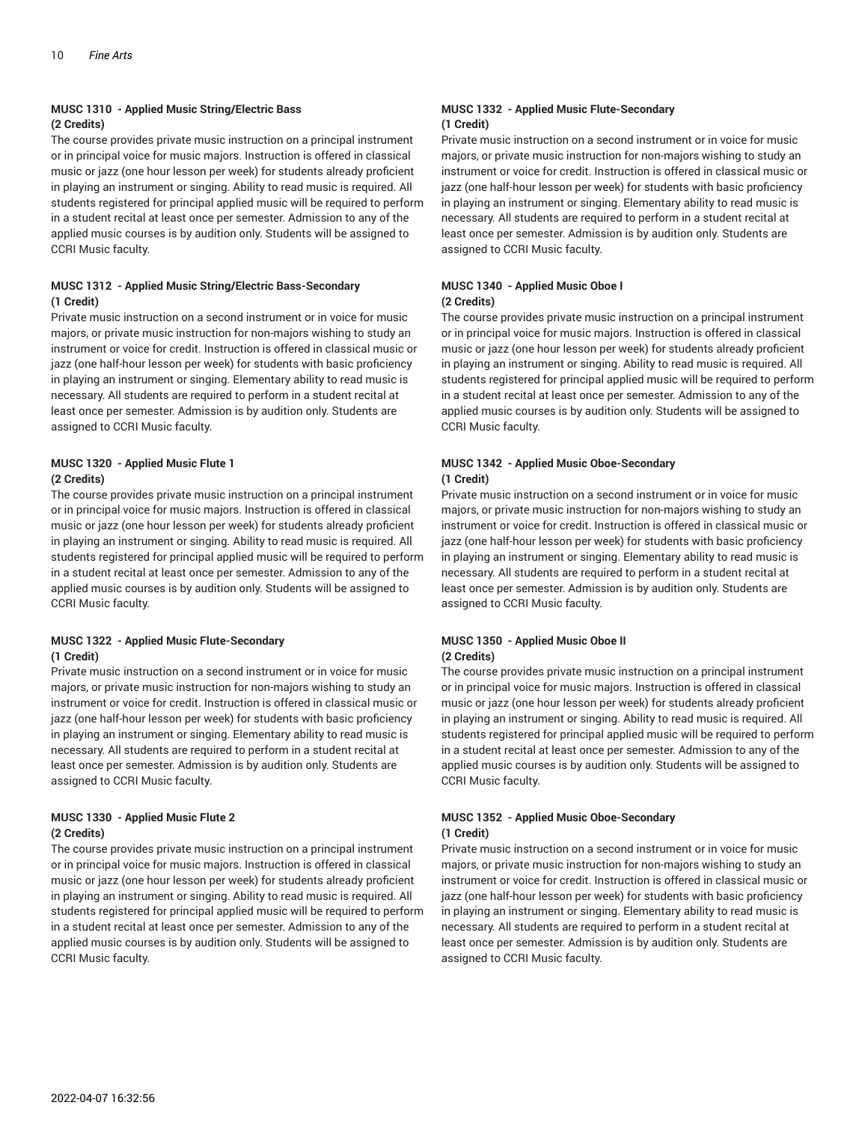#### **MUSC 1310 - Applied Music String/Electric Bass (2 Credits)**

The course provides private music instruction on a principal instrument or in principal voice for music majors. Instruction is offered in classical music or jazz (one hour lesson per week) for students already proficient in playing an instrument or singing. Ability to read music is required. All students registered for principal applied music will be required to perform in a student recital at least once per semester. Admission to any of the applied music courses is by audition only. Students will be assigned to CCRI Music faculty.

#### **MUSC 1312 - Applied Music String/Electric Bass-Secondary (1 Credit)**

Private music instruction on a second instrument or in voice for music majors, or private music instruction for non-majors wishing to study an instrument or voice for credit. Instruction is offered in classical music or jazz (one half-hour lesson per week) for students with basic proficiency in playing an instrument or singing. Elementary ability to read music is necessary. All students are required to perform in a student recital at least once per semester. Admission is by audition only. Students are assigned to CCRI Music faculty.

#### **MUSC 1320 - Applied Music Flute 1 (2 Credits)**

The course provides private music instruction on a principal instrument or in principal voice for music majors. Instruction is offered in classical music or jazz (one hour lesson per week) for students already proficient in playing an instrument or singing. Ability to read music is required. All students registered for principal applied music will be required to perform in a student recital at least once per semester. Admission to any of the applied music courses is by audition only. Students will be assigned to CCRI Music faculty.

#### **MUSC 1322 - Applied Music Flute-Secondary (1 Credit)**

Private music instruction on a second instrument or in voice for music majors, or private music instruction for non-majors wishing to study an instrument or voice for credit. Instruction is offered in classical music or jazz (one half-hour lesson per week) for students with basic proficiency in playing an instrument or singing. Elementary ability to read music is necessary. All students are required to perform in a student recital at least once per semester. Admission is by audition only. Students are assigned to CCRI Music faculty.

#### **MUSC 1330 - Applied Music Flute 2 (2 Credits)**

The course provides private music instruction on a principal instrument or in principal voice for music majors. Instruction is offered in classical music or jazz (one hour lesson per week) for students already proficient in playing an instrument or singing. Ability to read music is required. All students registered for principal applied music will be required to perform in a student recital at least once per semester. Admission to any of the applied music courses is by audition only. Students will be assigned to CCRI Music faculty.

#### **MUSC 1332 - Applied Music Flute-Secondary (1 Credit)**

Private music instruction on a second instrument or in voice for music majors, or private music instruction for non-majors wishing to study an instrument or voice for credit. Instruction is offered in classical music or jazz (one half-hour lesson per week) for students with basic proficiency in playing an instrument or singing. Elementary ability to read music is necessary. All students are required to perform in a student recital at least once per semester. Admission is by audition only. Students are assigned to CCRI Music faculty.

#### **MUSC 1340 - Applied Music Oboe I (2 Credits)**

The course provides private music instruction on a principal instrument or in principal voice for music majors. Instruction is offered in classical music or jazz (one hour lesson per week) for students already proficient in playing an instrument or singing. Ability to read music is required. All students registered for principal applied music will be required to perform in a student recital at least once per semester. Admission to any of the applied music courses is by audition only. Students will be assigned to CCRI Music faculty.

#### **MUSC 1342 - Applied Music Oboe-Secondary (1 Credit)**

Private music instruction on a second instrument or in voice for music majors, or private music instruction for non-majors wishing to study an instrument or voice for credit. Instruction is offered in classical music or jazz (one half-hour lesson per week) for students with basic proficiency in playing an instrument or singing. Elementary ability to read music is necessary. All students are required to perform in a student recital at least once per semester. Admission is by audition only. Students are assigned to CCRI Music faculty.

#### **MUSC 1350 - Applied Music Oboe II (2 Credits)**

The course provides private music instruction on a principal instrument or in principal voice for music majors. Instruction is offered in classical music or jazz (one hour lesson per week) for students already proficient in playing an instrument or singing. Ability to read music is required. All students registered for principal applied music will be required to perform in a student recital at least once per semester. Admission to any of the applied music courses is by audition only. Students will be assigned to CCRI Music faculty.

#### **MUSC 1352 - Applied Music Oboe-Secondary (1 Credit)**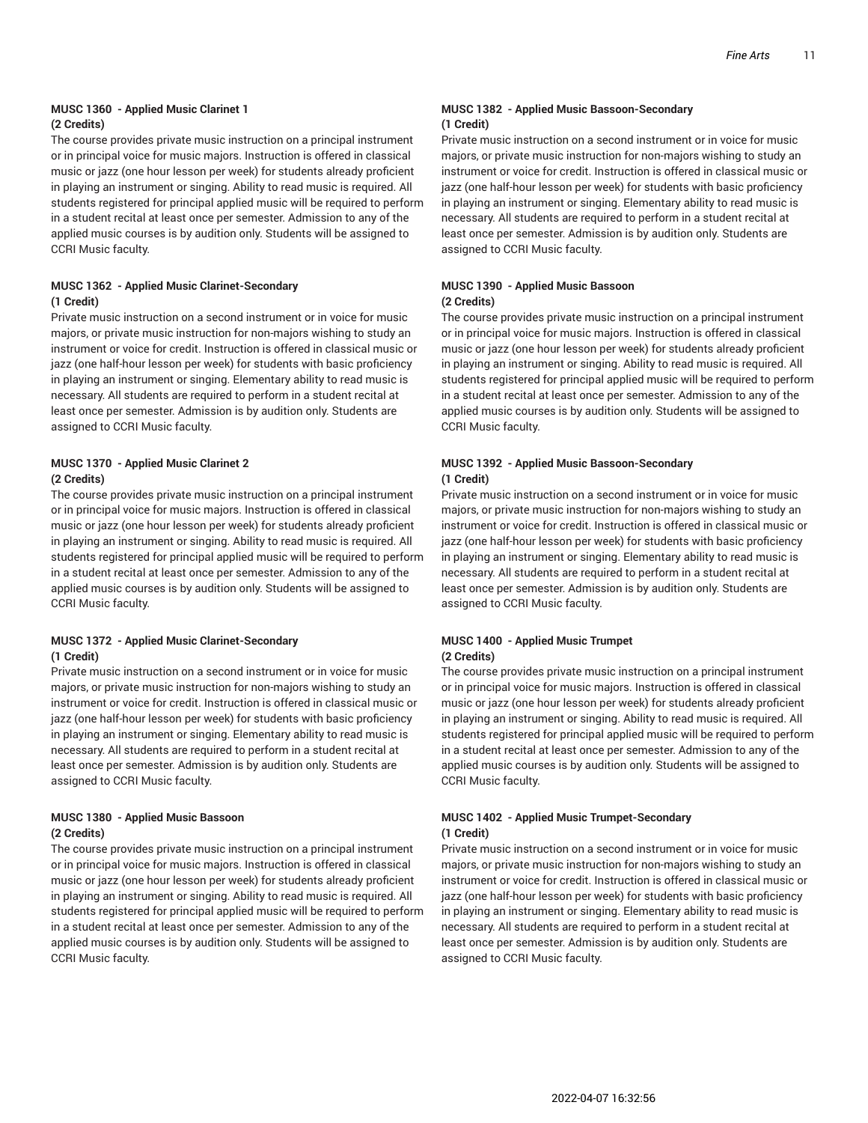#### **MUSC 1360 - Applied Music Clarinet 1 (2 Credits)**

The course provides private music instruction on a principal instrument or in principal voice for music majors. Instruction is offered in classical music or jazz (one hour lesson per week) for students already proficient in playing an instrument or singing. Ability to read music is required. All students registered for principal applied music will be required to perform in a student recital at least once per semester. Admission to any of the applied music courses is by audition only. Students will be assigned to CCRI Music faculty.

#### **MUSC 1362 - Applied Music Clarinet-Secondary (1 Credit)**

Private music instruction on a second instrument or in voice for music majors, or private music instruction for non-majors wishing to study an instrument or voice for credit. Instruction is offered in classical music or jazz (one half-hour lesson per week) for students with basic proficiency in playing an instrument or singing. Elementary ability to read music is necessary. All students are required to perform in a student recital at least once per semester. Admission is by audition only. Students are assigned to CCRI Music faculty.

#### **MUSC 1370 - Applied Music Clarinet 2 (2 Credits)**

The course provides private music instruction on a principal instrument or in principal voice for music majors. Instruction is offered in classical music or jazz (one hour lesson per week) for students already proficient in playing an instrument or singing. Ability to read music is required. All students registered for principal applied music will be required to perform in a student recital at least once per semester. Admission to any of the applied music courses is by audition only. Students will be assigned to CCRI Music faculty.

#### **MUSC 1372 - Applied Music Clarinet-Secondary (1 Credit)**

Private music instruction on a second instrument or in voice for music majors, or private music instruction for non-majors wishing to study an instrument or voice for credit. Instruction is offered in classical music or jazz (one half-hour lesson per week) for students with basic proficiency in playing an instrument or singing. Elementary ability to read music is necessary. All students are required to perform in a student recital at least once per semester. Admission is by audition only. Students are assigned to CCRI Music faculty.

#### **MUSC 1380 - Applied Music Bassoon (2 Credits)**

The course provides private music instruction on a principal instrument or in principal voice for music majors. Instruction is offered in classical music or jazz (one hour lesson per week) for students already proficient in playing an instrument or singing. Ability to read music is required. All students registered for principal applied music will be required to perform in a student recital at least once per semester. Admission to any of the applied music courses is by audition only. Students will be assigned to CCRI Music faculty.

#### **MUSC 1382 - Applied Music Bassoon-Secondary (1 Credit)**

Private music instruction on a second instrument or in voice for music majors, or private music instruction for non-majors wishing to study an instrument or voice for credit. Instruction is offered in classical music or jazz (one half-hour lesson per week) for students with basic proficiency in playing an instrument or singing. Elementary ability to read music is necessary. All students are required to perform in a student recital at least once per semester. Admission is by audition only. Students are assigned to CCRI Music faculty.

#### **MUSC 1390 - Applied Music Bassoon (2 Credits)**

The course provides private music instruction on a principal instrument or in principal voice for music majors. Instruction is offered in classical music or jazz (one hour lesson per week) for students already proficient in playing an instrument or singing. Ability to read music is required. All students registered for principal applied music will be required to perform in a student recital at least once per semester. Admission to any of the applied music courses is by audition only. Students will be assigned to CCRI Music faculty.

#### **MUSC 1392 - Applied Music Bassoon-Secondary (1 Credit)**

Private music instruction on a second instrument or in voice for music majors, or private music instruction for non-majors wishing to study an instrument or voice for credit. Instruction is offered in classical music or jazz (one half-hour lesson per week) for students with basic proficiency in playing an instrument or singing. Elementary ability to read music is necessary. All students are required to perform in a student recital at least once per semester. Admission is by audition only. Students are assigned to CCRI Music faculty.

#### **MUSC 1400 - Applied Music Trumpet (2 Credits)**

The course provides private music instruction on a principal instrument or in principal voice for music majors. Instruction is offered in classical music or jazz (one hour lesson per week) for students already proficient in playing an instrument or singing. Ability to read music is required. All students registered for principal applied music will be required to perform in a student recital at least once per semester. Admission to any of the applied music courses is by audition only. Students will be assigned to CCRI Music faculty.

#### **MUSC 1402 - Applied Music Trumpet-Secondary (1 Credit)**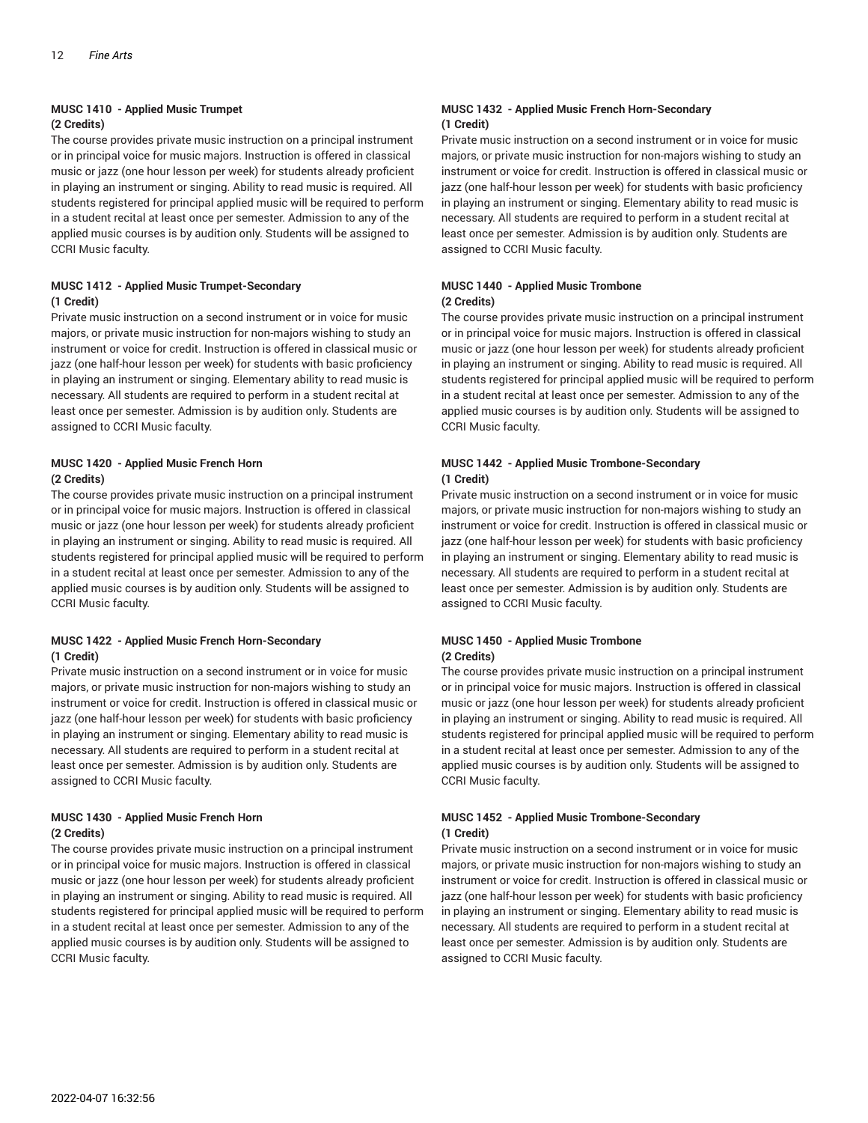### **MUSC 1410 - Applied Music Trumpet**

#### **(2 Credits)**

The course provides private music instruction on a principal instrument or in principal voice for music majors. Instruction is offered in classical music or jazz (one hour lesson per week) for students already proficient in playing an instrument or singing. Ability to read music is required. All students registered for principal applied music will be required to perform in a student recital at least once per semester. Admission to any of the applied music courses is by audition only. Students will be assigned to CCRI Music faculty.

#### **MUSC 1412 - Applied Music Trumpet-Secondary (1 Credit)**

Private music instruction on a second instrument or in voice for music majors, or private music instruction for non-majors wishing to study an instrument or voice for credit. Instruction is offered in classical music or jazz (one half-hour lesson per week) for students with basic proficiency in playing an instrument or singing. Elementary ability to read music is necessary. All students are required to perform in a student recital at least once per semester. Admission is by audition only. Students are assigned to CCRI Music faculty.

#### **MUSC 1420 - Applied Music French Horn (2 Credits)**

The course provides private music instruction on a principal instrument or in principal voice for music majors. Instruction is offered in classical music or jazz (one hour lesson per week) for students already proficient in playing an instrument or singing. Ability to read music is required. All students registered for principal applied music will be required to perform in a student recital at least once per semester. Admission to any of the applied music courses is by audition only. Students will be assigned to CCRI Music faculty.

#### **MUSC 1422 - Applied Music French Horn-Secondary (1 Credit)**

Private music instruction on a second instrument or in voice for music majors, or private music instruction for non-majors wishing to study an instrument or voice for credit. Instruction is offered in classical music or jazz (one half-hour lesson per week) for students with basic proficiency in playing an instrument or singing. Elementary ability to read music is necessary. All students are required to perform in a student recital at least once per semester. Admission is by audition only. Students are assigned to CCRI Music faculty.

#### **MUSC 1430 - Applied Music French Horn (2 Credits)**

The course provides private music instruction on a principal instrument or in principal voice for music majors. Instruction is offered in classical music or jazz (one hour lesson per week) for students already proficient in playing an instrument or singing. Ability to read music is required. All students registered for principal applied music will be required to perform in a student recital at least once per semester. Admission to any of the applied music courses is by audition only. Students will be assigned to CCRI Music faculty.

#### **MUSC 1432 - Applied Music French Horn-Secondary (1 Credit)**

Private music instruction on a second instrument or in voice for music majors, or private music instruction for non-majors wishing to study an instrument or voice for credit. Instruction is offered in classical music or jazz (one half-hour lesson per week) for students with basic proficiency in playing an instrument or singing. Elementary ability to read music is necessary. All students are required to perform in a student recital at least once per semester. Admission is by audition only. Students are assigned to CCRI Music faculty.

#### **MUSC 1440 - Applied Music Trombone (2 Credits)**

The course provides private music instruction on a principal instrument or in principal voice for music majors. Instruction is offered in classical music or jazz (one hour lesson per week) for students already proficient in playing an instrument or singing. Ability to read music is required. All students registered for principal applied music will be required to perform in a student recital at least once per semester. Admission to any of the applied music courses is by audition only. Students will be assigned to CCRI Music faculty.

#### **MUSC 1442 - Applied Music Trombone-Secondary (1 Credit)**

Private music instruction on a second instrument or in voice for music majors, or private music instruction for non-majors wishing to study an instrument or voice for credit. Instruction is offered in classical music or jazz (one half-hour lesson per week) for students with basic proficiency in playing an instrument or singing. Elementary ability to read music is necessary. All students are required to perform in a student recital at least once per semester. Admission is by audition only. Students are assigned to CCRI Music faculty.

#### **MUSC 1450 - Applied Music Trombone (2 Credits)**

The course provides private music instruction on a principal instrument or in principal voice for music majors. Instruction is offered in classical music or jazz (one hour lesson per week) for students already proficient in playing an instrument or singing. Ability to read music is required. All students registered for principal applied music will be required to perform in a student recital at least once per semester. Admission to any of the applied music courses is by audition only. Students will be assigned to CCRI Music faculty.

#### **MUSC 1452 - Applied Music Trombone-Secondary (1 Credit)**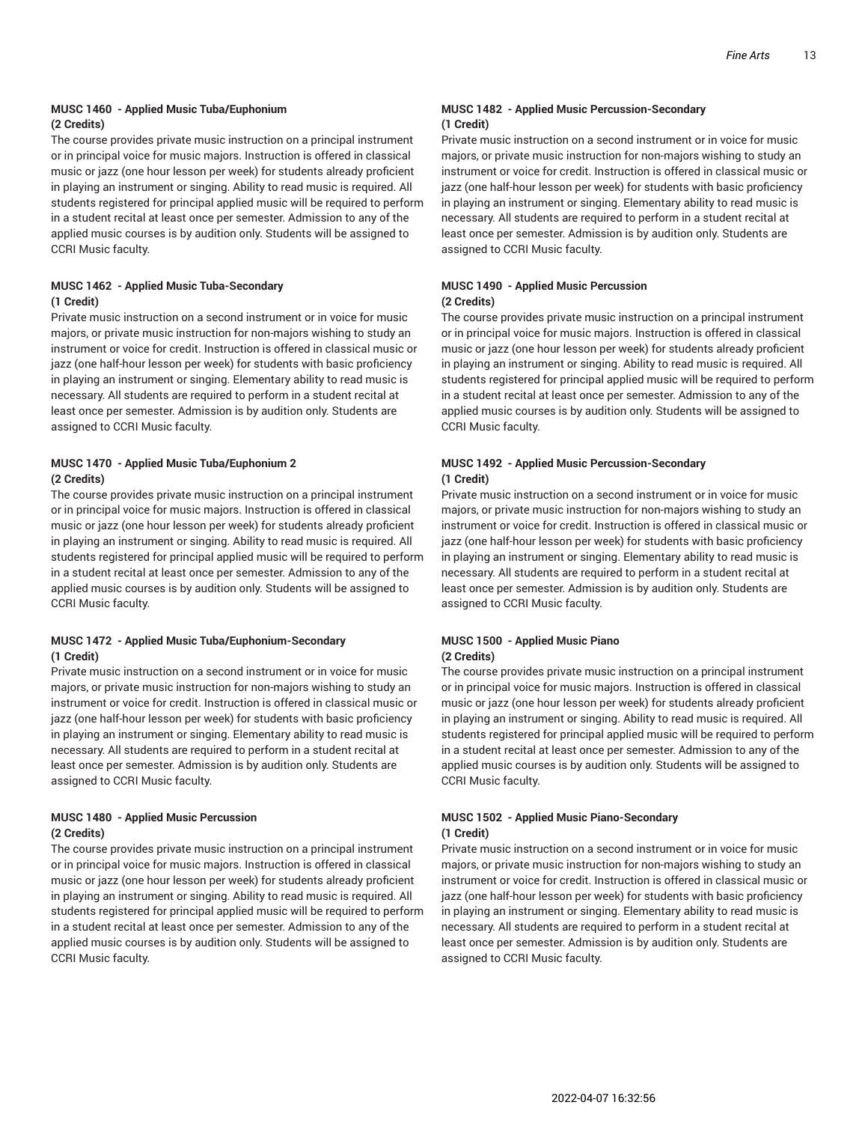#### **MUSC 1460 - Applied Music Tuba/Euphonium (2 Credits)**

The course provides private music instruction on a principal instrument or in principal voice for music majors. Instruction is offered in classical music or jazz (one hour lesson per week) for students already proficient in playing an instrument or singing. Ability to read music is required. All students registered for principal applied music will be required to perform in a student recital at least once per semester. Admission to any of the applied music courses is by audition only. Students will be assigned to CCRI Music faculty.

#### **MUSC 1462 - Applied Music Tuba-Secondary (1 Credit)**

Private music instruction on a second instrument or in voice for music majors, or private music instruction for non-majors wishing to study an instrument or voice for credit. Instruction is offered in classical music or jazz (one half-hour lesson per week) for students with basic proficiency in playing an instrument or singing. Elementary ability to read music is necessary. All students are required to perform in a student recital at least once per semester. Admission is by audition only. Students are assigned to CCRI Music faculty.

#### **MUSC 1470 - Applied Music Tuba/Euphonium 2 (2 Credits)**

The course provides private music instruction on a principal instrument or in principal voice for music majors. Instruction is offered in classical music or jazz (one hour lesson per week) for students already proficient in playing an instrument or singing. Ability to read music is required. All students registered for principal applied music will be required to perform in a student recital at least once per semester. Admission to any of the applied music courses is by audition only. Students will be assigned to CCRI Music faculty.

#### **MUSC 1472 - Applied Music Tuba/Euphonium-Secondary (1 Credit)**

Private music instruction on a second instrument or in voice for music majors, or private music instruction for non-majors wishing to study an instrument or voice for credit. Instruction is offered in classical music or jazz (one half-hour lesson per week) for students with basic proficiency in playing an instrument or singing. Elementary ability to read music is necessary. All students are required to perform in a student recital at least once per semester. Admission is by audition only. Students are assigned to CCRI Music faculty.

#### **MUSC 1480 - Applied Music Percussion (2 Credits)**

The course provides private music instruction on a principal instrument or in principal voice for music majors. Instruction is offered in classical music or jazz (one hour lesson per week) for students already proficient in playing an instrument or singing. Ability to read music is required. All students registered for principal applied music will be required to perform in a student recital at least once per semester. Admission to any of the applied music courses is by audition only. Students will be assigned to CCRI Music faculty.

#### **MUSC 1482 - Applied Music Percussion-Secondary (1 Credit)**

Private music instruction on a second instrument or in voice for music majors, or private music instruction for non-majors wishing to study an instrument or voice for credit. Instruction is offered in classical music or jazz (one half-hour lesson per week) for students with basic proficiency in playing an instrument or singing. Elementary ability to read music is necessary. All students are required to perform in a student recital at least once per semester. Admission is by audition only. Students are assigned to CCRI Music faculty.

#### **MUSC 1490 - Applied Music Percussion (2 Credits)**

The course provides private music instruction on a principal instrument or in principal voice for music majors. Instruction is offered in classical music or jazz (one hour lesson per week) for students already proficient in playing an instrument or singing. Ability to read music is required. All students registered for principal applied music will be required to perform in a student recital at least once per semester. Admission to any of the applied music courses is by audition only. Students will be assigned to CCRI Music faculty.

#### **MUSC 1492 - Applied Music Percussion-Secondary (1 Credit)**

Private music instruction on a second instrument or in voice for music majors, or private music instruction for non-majors wishing to study an instrument or voice for credit. Instruction is offered in classical music or jazz (one half-hour lesson per week) for students with basic proficiency in playing an instrument or singing. Elementary ability to read music is necessary. All students are required to perform in a student recital at least once per semester. Admission is by audition only. Students are assigned to CCRI Music faculty.

#### **MUSC 1500 - Applied Music Piano (2 Credits)**

The course provides private music instruction on a principal instrument or in principal voice for music majors. Instruction is offered in classical music or jazz (one hour lesson per week) for students already proficient in playing an instrument or singing. Ability to read music is required. All students registered for principal applied music will be required to perform in a student recital at least once per semester. Admission to any of the applied music courses is by audition only. Students will be assigned to CCRI Music faculty.

#### **MUSC 1502 - Applied Music Piano-Secondary (1 Credit)**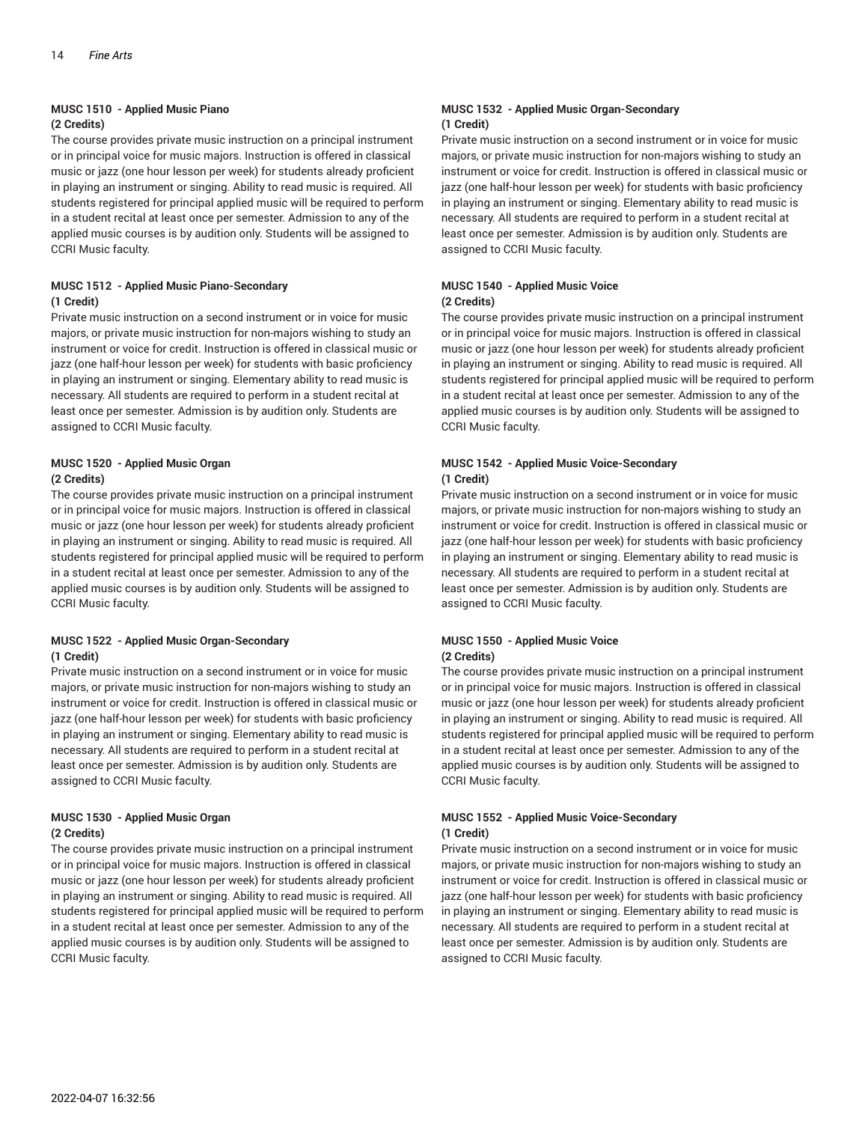### **MUSC 1510 - Applied Music Piano**

#### **(2 Credits)**

The course provides private music instruction on a principal instrument or in principal voice for music majors. Instruction is offered in classical music or jazz (one hour lesson per week) for students already proficient in playing an instrument or singing. Ability to read music is required. All students registered for principal applied music will be required to perform in a student recital at least once per semester. Admission to any of the applied music courses is by audition only. Students will be assigned to CCRI Music faculty.

#### **MUSC 1512 - Applied Music Piano-Secondary (1 Credit)**

Private music instruction on a second instrument or in voice for music majors, or private music instruction for non-majors wishing to study an instrument or voice for credit. Instruction is offered in classical music or jazz (one half-hour lesson per week) for students with basic proficiency in playing an instrument or singing. Elementary ability to read music is necessary. All students are required to perform in a student recital at least once per semester. Admission is by audition only. Students are assigned to CCRI Music faculty.

#### **MUSC 1520 - Applied Music Organ (2 Credits)**

The course provides private music instruction on a principal instrument or in principal voice for music majors. Instruction is offered in classical music or jazz (one hour lesson per week) for students already proficient in playing an instrument or singing. Ability to read music is required. All students registered for principal applied music will be required to perform in a student recital at least once per semester. Admission to any of the applied music courses is by audition only. Students will be assigned to CCRI Music faculty.

#### **MUSC 1522 - Applied Music Organ-Secondary (1 Credit)**

Private music instruction on a second instrument or in voice for music majors, or private music instruction for non-majors wishing to study an instrument or voice for credit. Instruction is offered in classical music or jazz (one half-hour lesson per week) for students with basic proficiency in playing an instrument or singing. Elementary ability to read music is necessary. All students are required to perform in a student recital at least once per semester. Admission is by audition only. Students are assigned to CCRI Music faculty.

#### **MUSC 1530 - Applied Music Organ (2 Credits)**

The course provides private music instruction on a principal instrument or in principal voice for music majors. Instruction is offered in classical music or jazz (one hour lesson per week) for students already proficient in playing an instrument or singing. Ability to read music is required. All students registered for principal applied music will be required to perform in a student recital at least once per semester. Admission to any of the applied music courses is by audition only. Students will be assigned to CCRI Music faculty.

#### **MUSC 1532 - Applied Music Organ-Secondary (1 Credit)**

Private music instruction on a second instrument or in voice for music majors, or private music instruction for non-majors wishing to study an instrument or voice for credit. Instruction is offered in classical music or jazz (one half-hour lesson per week) for students with basic proficiency in playing an instrument or singing. Elementary ability to read music is necessary. All students are required to perform in a student recital at least once per semester. Admission is by audition only. Students are assigned to CCRI Music faculty.

#### **MUSC 1540 - Applied Music Voice (2 Credits)**

The course provides private music instruction on a principal instrument or in principal voice for music majors. Instruction is offered in classical music or jazz (one hour lesson per week) for students already proficient in playing an instrument or singing. Ability to read music is required. All students registered for principal applied music will be required to perform in a student recital at least once per semester. Admission to any of the applied music courses is by audition only. Students will be assigned to CCRI Music faculty.

#### **MUSC 1542 - Applied Music Voice-Secondary (1 Credit)**

Private music instruction on a second instrument or in voice for music majors, or private music instruction for non-majors wishing to study an instrument or voice for credit. Instruction is offered in classical music or jazz (one half-hour lesson per week) for students with basic proficiency in playing an instrument or singing. Elementary ability to read music is necessary. All students are required to perform in a student recital at least once per semester. Admission is by audition only. Students are assigned to CCRI Music faculty.

#### **MUSC 1550 - Applied Music Voice (2 Credits)**

The course provides private music instruction on a principal instrument or in principal voice for music majors. Instruction is offered in classical music or jazz (one hour lesson per week) for students already proficient in playing an instrument or singing. Ability to read music is required. All students registered for principal applied music will be required to perform in a student recital at least once per semester. Admission to any of the applied music courses is by audition only. Students will be assigned to CCRI Music faculty.

#### **MUSC 1552 - Applied Music Voice-Secondary (1 Credit)**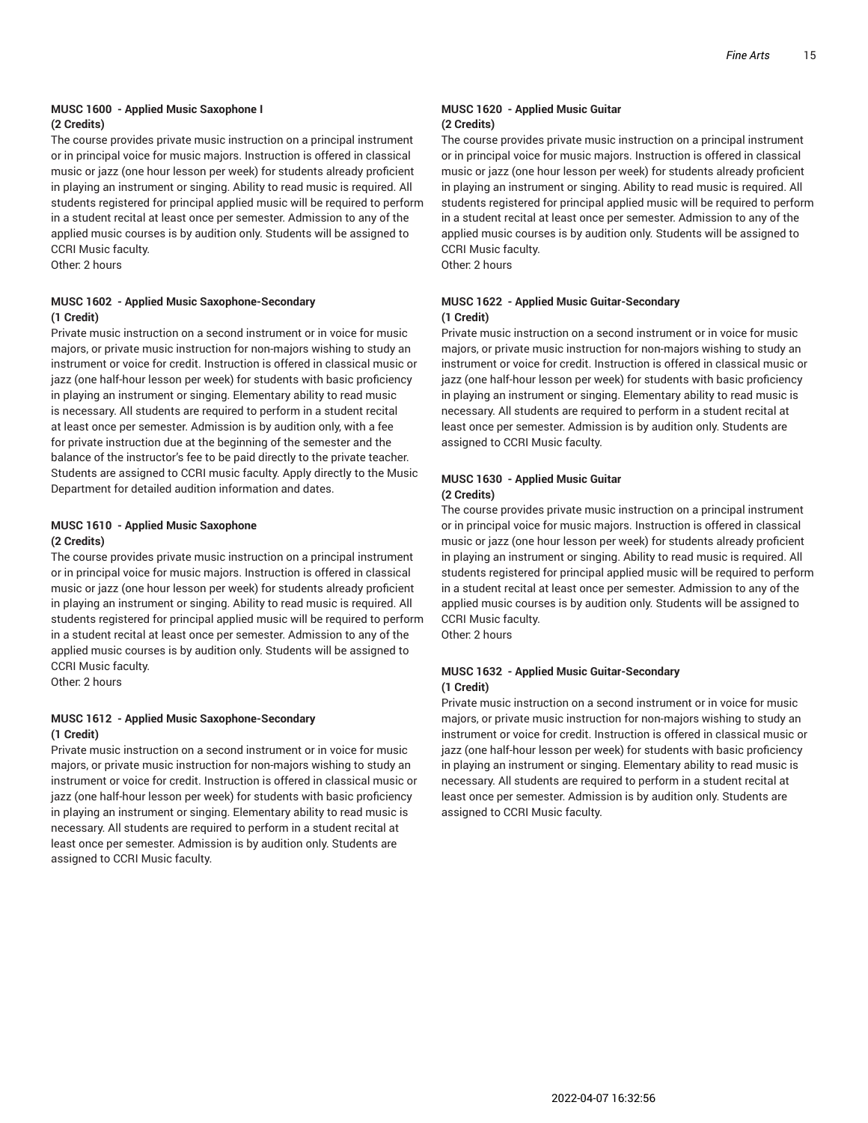#### **MUSC 1600 - Applied Music Saxophone I (2 Credits)**

The course provides private music instruction on a principal instrument or in principal voice for music majors. Instruction is offered in classical music or jazz (one hour lesson per week) for students already proficient in playing an instrument or singing. Ability to read music is required. All students registered for principal applied music will be required to perform in a student recital at least once per semester. Admission to any of the applied music courses is by audition only. Students will be assigned to CCRI Music faculty.

Other: 2 hours

#### **MUSC 1602 - Applied Music Saxophone-Secondary (1 Credit)**

Private music instruction on a second instrument or in voice for music majors, or private music instruction for non-majors wishing to study an instrument or voice for credit. Instruction is offered in classical music or jazz (one half-hour lesson per week) for students with basic proficiency in playing an instrument or singing. Elementary ability to read music is necessary. All students are required to perform in a student recital at least once per semester. Admission is by audition only, with a fee for private instruction due at the beginning of the semester and the balance of the instructor's fee to be paid directly to the private teacher. Students are assigned to CCRI music faculty. Apply directly to the Music Department for detailed audition information and dates.

#### **MUSC 1610 - Applied Music Saxophone (2 Credits)**

The course provides private music instruction on a principal instrument or in principal voice for music majors. Instruction is offered in classical music or jazz (one hour lesson per week) for students already proficient in playing an instrument or singing. Ability to read music is required. All students registered for principal applied music will be required to perform in a student recital at least once per semester. Admission to any of the applied music courses is by audition only. Students will be assigned to CCRI Music faculty.

Other: 2 hours

#### **MUSC 1612 - Applied Music Saxophone-Secondary (1 Credit)**

Private music instruction on a second instrument or in voice for music majors, or private music instruction for non-majors wishing to study an instrument or voice for credit. Instruction is offered in classical music or jazz (one half-hour lesson per week) for students with basic proficiency in playing an instrument or singing. Elementary ability to read music is necessary. All students are required to perform in a student recital at least once per semester. Admission is by audition only. Students are assigned to CCRI Music faculty.

#### **MUSC 1620 - Applied Music Guitar (2 Credits)**

The course provides private music instruction on a principal instrument or in principal voice for music majors. Instruction is offered in classical music or jazz (one hour lesson per week) for students already proficient in playing an instrument or singing. Ability to read music is required. All students registered for principal applied music will be required to perform in a student recital at least once per semester. Admission to any of the applied music courses is by audition only. Students will be assigned to CCRI Music faculty.

Other: 2 hours

#### **MUSC 1622 - Applied Music Guitar-Secondary (1 Credit)**

Private music instruction on a second instrument or in voice for music majors, or private music instruction for non-majors wishing to study an instrument or voice for credit. Instruction is offered in classical music or jazz (one half-hour lesson per week) for students with basic proficiency in playing an instrument or singing. Elementary ability to read music is necessary. All students are required to perform in a student recital at least once per semester. Admission is by audition only. Students are assigned to CCRI Music faculty.

#### **MUSC 1630 - Applied Music Guitar (2 Credits)**

The course provides private music instruction on a principal instrument or in principal voice for music majors. Instruction is offered in classical music or jazz (one hour lesson per week) for students already proficient in playing an instrument or singing. Ability to read music is required. All students registered for principal applied music will be required to perform in a student recital at least once per semester. Admission to any of the applied music courses is by audition only. Students will be assigned to CCRI Music faculty.

Other: 2 hours

#### **MUSC 1632 - Applied Music Guitar-Secondary (1 Credit)**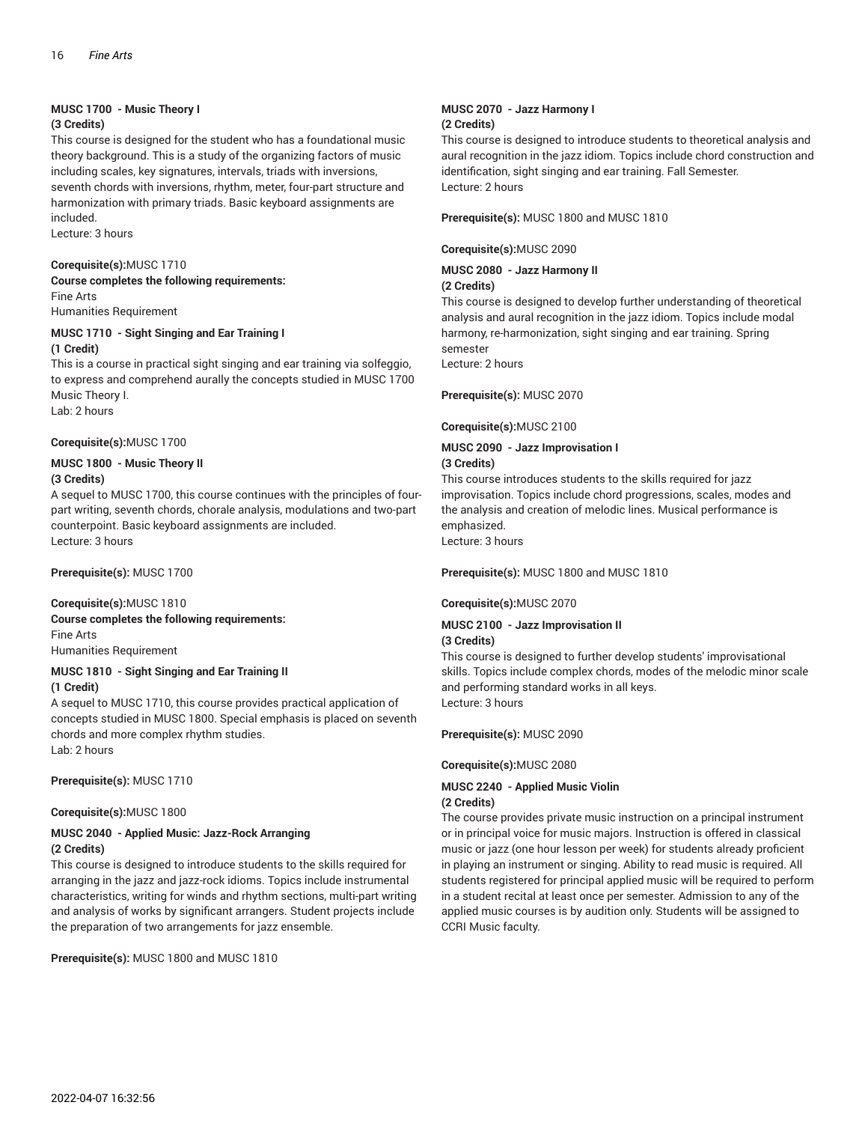### **MUSC 1700 - Music Theory I**

#### **(3 Credits)**

This course is designed for the student who has a foundational music theory background. This is a study of the organizing factors of music including scales, key signatures, intervals, triads with inversions, seventh chords with inversions, rhythm, meter, four-part structure and harmonization with primary triads. Basic keyboard assignments are included.

Lecture: 3 hours

#### **Corequisite(s):**MUSC 1710

**Course completes the following requirements:** Fine Arts Humanities Requirement

#### **MUSC 1710 - Sight Singing and Ear Training I (1 Credit)**

This is a course in practical sight singing and ear training via solfeggio, to express and comprehend aurally the concepts studied in MUSC 1700 Music Theory I. Lab: 2 hours

#### **Corequisite(s):**MUSC 1700

#### **MUSC 1800 - Music Theory II (3 Credits)**

A sequel to MUSC 1700, this course continues with the principles of fourpart writing, seventh chords, chorale analysis, modulations and two-part counterpoint. Basic keyboard assignments are included. Lecture: 3 hours

**Prerequisite(s):** MUSC 1700

#### **Corequisite(s):**MUSC 1810 **Course completes the following requirements:** Fine Arts Humanities Requirement

#### **MUSC 1810 - Sight Singing and Ear Training II (1 Credit)**

A sequel to MUSC 1710, this course provides practical application of concepts studied in MUSC 1800. Special emphasis is placed on seventh chords and more complex rhythm studies. Lab: 2 hours

**Prerequisite(s):** MUSC 1710

#### **Corequisite(s):**MUSC 1800

#### **MUSC 2040 - Applied Music: Jazz-Rock Arranging (2 Credits)**

This course is designed to introduce students to the skills required for arranging in the jazz and jazz-rock idioms. Topics include instrumental characteristics, writing for winds and rhythm sections, multi-part writing and analysis of works by significant arrangers. Student projects include the preparation of two arrangements for jazz ensemble.

**Prerequisite(s):** MUSC 1800 and MUSC 1810

#### **MUSC 2070 - Jazz Harmony I (2 Credits)**

This course is designed to introduce students to theoretical analysis and aural recognition in the jazz idiom. Topics include chord construction and identification, sight singing and ear training. Fall Semester. Lecture: 2 hours

**Prerequisite(s):** MUSC 1800 and MUSC 1810

**Corequisite(s):**MUSC 2090

**MUSC 2080 - Jazz Harmony II**

**(2 Credits)**

This course is designed to develop further understanding of theoretical analysis and aural recognition in the jazz idiom. Topics include modal harmony, re-harmonization, sight singing and ear training. Spring semester

Lecture: 2 hours

**Prerequisite(s):** MUSC 2070

**Corequisite(s):**MUSC 2100

#### **MUSC 2090 - Jazz Improvisation I (3 Credits)**

This course introduces students to the skills required for jazz improvisation. Topics include chord progressions, scales, modes and the analysis and creation of melodic lines. Musical performance is emphasized.

Lecture: 3 hours

**Prerequisite(s):** MUSC 1800 and MUSC 1810

#### **Corequisite(s):**MUSC 2070

#### **MUSC 2100 - Jazz Improvisation II (3 Credits)**

This course is designed to further develop students' improvisational skills. Topics include complex chords, modes of the melodic minor scale and performing standard works in all keys. Lecture: 3 hours

**Prerequisite(s):** MUSC 2090

**Corequisite(s):**MUSC 2080

#### **MUSC 2240 - Applied Music Violin (2 Credits)**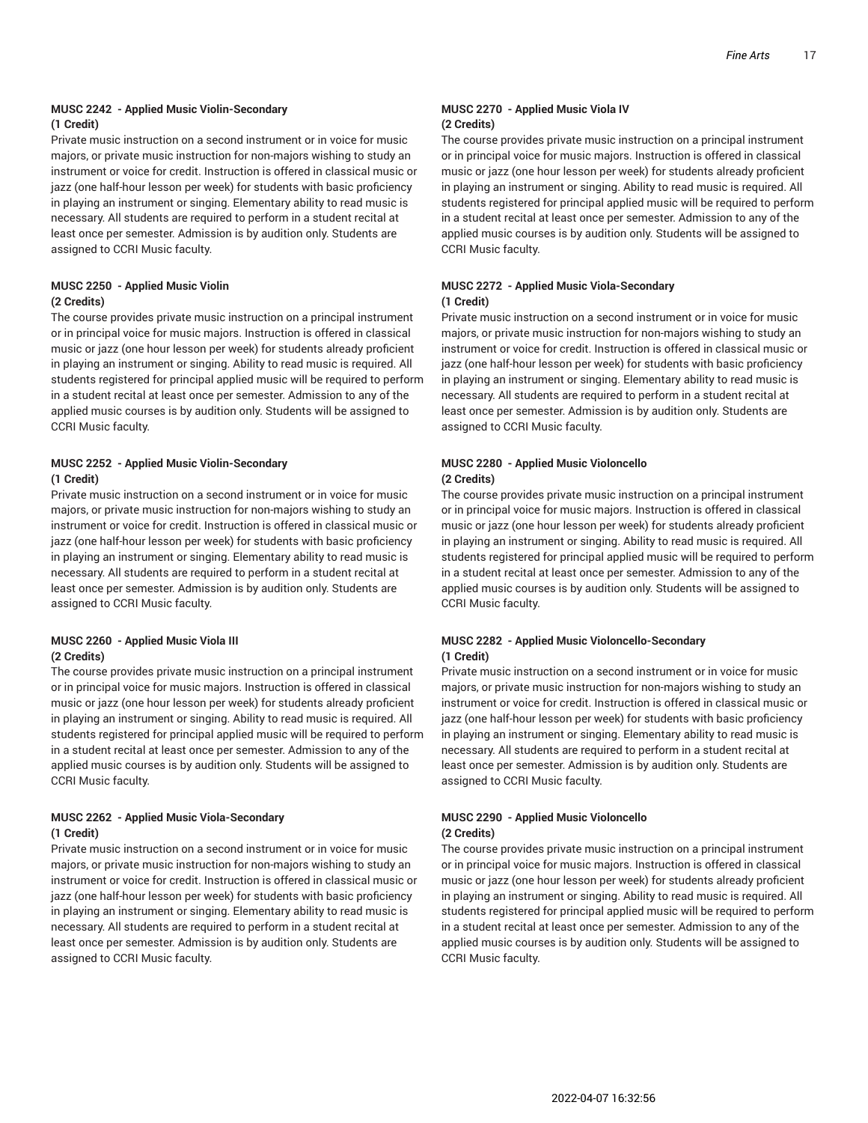#### **MUSC 2242 - Applied Music Violin-Secondary (1 Credit)**

Private music instruction on a second instrument or in voice for music majors, or private music instruction for non-majors wishing to study an instrument or voice for credit. Instruction is offered in classical music or jazz (one half-hour lesson per week) for students with basic proficiency in playing an instrument or singing. Elementary ability to read music is necessary. All students are required to perform in a student recital at least once per semester. Admission is by audition only. Students are assigned to CCRI Music faculty.

#### **MUSC 2250 - Applied Music Violin (2 Credits)**

The course provides private music instruction on a principal instrument or in principal voice for music majors. Instruction is offered in classical music or jazz (one hour lesson per week) for students already proficient in playing an instrument or singing. Ability to read music is required. All students registered for principal applied music will be required to perform in a student recital at least once per semester. Admission to any of the applied music courses is by audition only. Students will be assigned to CCRI Music faculty.

#### **MUSC 2252 - Applied Music Violin-Secondary (1 Credit)**

Private music instruction on a second instrument or in voice for music majors, or private music instruction for non-majors wishing to study an instrument or voice for credit. Instruction is offered in classical music or jazz (one half-hour lesson per week) for students with basic proficiency in playing an instrument or singing. Elementary ability to read music is necessary. All students are required to perform in a student recital at least once per semester. Admission is by audition only. Students are assigned to CCRI Music faculty.

#### **MUSC 2260 - Applied Music Viola III (2 Credits)**

The course provides private music instruction on a principal instrument or in principal voice for music majors. Instruction is offered in classical music or jazz (one hour lesson per week) for students already proficient in playing an instrument or singing. Ability to read music is required. All students registered for principal applied music will be required to perform in a student recital at least once per semester. Admission to any of the applied music courses is by audition only. Students will be assigned to CCRI Music faculty.

#### **MUSC 2262 - Applied Music Viola-Secondary (1 Credit)**

Private music instruction on a second instrument or in voice for music majors, or private music instruction for non-majors wishing to study an instrument or voice for credit. Instruction is offered in classical music or jazz (one half-hour lesson per week) for students with basic proficiency in playing an instrument or singing. Elementary ability to read music is necessary. All students are required to perform in a student recital at least once per semester. Admission is by audition only. Students are assigned to CCRI Music faculty.

#### **MUSC 2270 - Applied Music Viola IV (2 Credits)**

The course provides private music instruction on a principal instrument or in principal voice for music majors. Instruction is offered in classical music or jazz (one hour lesson per week) for students already proficient in playing an instrument or singing. Ability to read music is required. All students registered for principal applied music will be required to perform in a student recital at least once per semester. Admission to any of the applied music courses is by audition only. Students will be assigned to CCRI Music faculty.

#### **MUSC 2272 - Applied Music Viola-Secondary (1 Credit)**

Private music instruction on a second instrument or in voice for music majors, or private music instruction for non-majors wishing to study an instrument or voice for credit. Instruction is offered in classical music or jazz (one half-hour lesson per week) for students with basic proficiency in playing an instrument or singing. Elementary ability to read music is necessary. All students are required to perform in a student recital at least once per semester. Admission is by audition only. Students are assigned to CCRI Music faculty.

#### **MUSC 2280 - Applied Music Violoncello (2 Credits)**

The course provides private music instruction on a principal instrument or in principal voice for music majors. Instruction is offered in classical music or jazz (one hour lesson per week) for students already proficient in playing an instrument or singing. Ability to read music is required. All students registered for principal applied music will be required to perform in a student recital at least once per semester. Admission to any of the applied music courses is by audition only. Students will be assigned to CCRI Music faculty.

#### **MUSC 2282 - Applied Music Violoncello-Secondary (1 Credit)**

Private music instruction on a second instrument or in voice for music majors, or private music instruction for non-majors wishing to study an instrument or voice for credit. Instruction is offered in classical music or jazz (one half-hour lesson per week) for students with basic proficiency in playing an instrument or singing. Elementary ability to read music is necessary. All students are required to perform in a student recital at least once per semester. Admission is by audition only. Students are assigned to CCRI Music faculty.

#### **MUSC 2290 - Applied Music Violoncello (2 Credits)**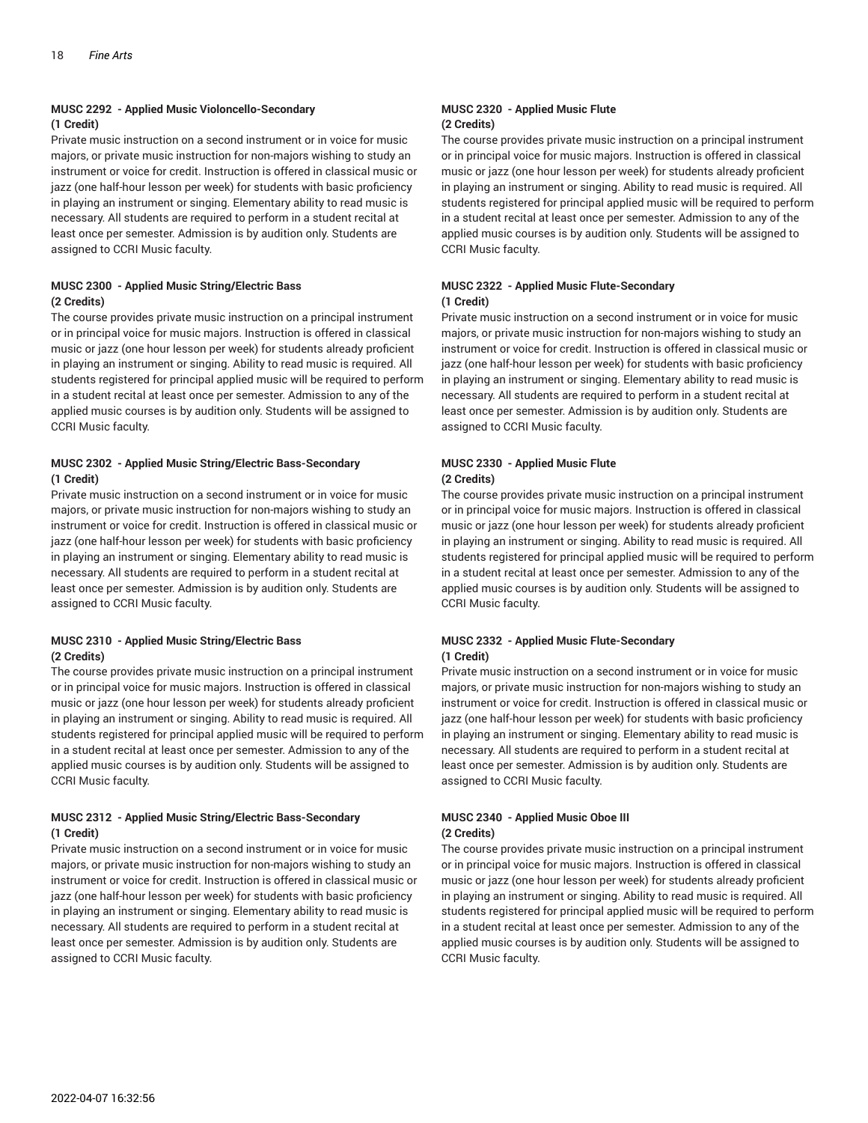#### **MUSC 2292 - Applied Music Violoncello-Secondary (1 Credit)**

Private music instruction on a second instrument or in voice for music majors, or private music instruction for non-majors wishing to study an instrument or voice for credit. Instruction is offered in classical music or jazz (one half-hour lesson per week) for students with basic proficiency in playing an instrument or singing. Elementary ability to read music is necessary. All students are required to perform in a student recital at least once per semester. Admission is by audition only. Students are assigned to CCRI Music faculty.

#### **MUSC 2300 - Applied Music String/Electric Bass (2 Credits)**

The course provides private music instruction on a principal instrument or in principal voice for music majors. Instruction is offered in classical music or jazz (one hour lesson per week) for students already proficient in playing an instrument or singing. Ability to read music is required. All students registered for principal applied music will be required to perform in a student recital at least once per semester. Admission to any of the applied music courses is by audition only. Students will be assigned to CCRI Music faculty.

#### **MUSC 2302 - Applied Music String/Electric Bass-Secondary (1 Credit)**

Private music instruction on a second instrument or in voice for music majors, or private music instruction for non-majors wishing to study an instrument or voice for credit. Instruction is offered in classical music or jazz (one half-hour lesson per week) for students with basic proficiency in playing an instrument or singing. Elementary ability to read music is necessary. All students are required to perform in a student recital at least once per semester. Admission is by audition only. Students are assigned to CCRI Music faculty.

#### **MUSC 2310 - Applied Music String/Electric Bass (2 Credits)**

The course provides private music instruction on a principal instrument or in principal voice for music majors. Instruction is offered in classical music or jazz (one hour lesson per week) for students already proficient in playing an instrument or singing. Ability to read music is required. All students registered for principal applied music will be required to perform in a student recital at least once per semester. Admission to any of the applied music courses is by audition only. Students will be assigned to CCRI Music faculty.

#### **MUSC 2312 - Applied Music String/Electric Bass-Secondary (1 Credit)**

Private music instruction on a second instrument or in voice for music majors, or private music instruction for non-majors wishing to study an instrument or voice for credit. Instruction is offered in classical music or jazz (one half-hour lesson per week) for students with basic proficiency in playing an instrument or singing. Elementary ability to read music is necessary. All students are required to perform in a student recital at least once per semester. Admission is by audition only. Students are assigned to CCRI Music faculty.

#### **MUSC 2320 - Applied Music Flute (2 Credits)**

The course provides private music instruction on a principal instrument or in principal voice for music majors. Instruction is offered in classical music or jazz (one hour lesson per week) for students already proficient in playing an instrument or singing. Ability to read music is required. All students registered for principal applied music will be required to perform in a student recital at least once per semester. Admission to any of the applied music courses is by audition only. Students will be assigned to CCRI Music faculty.

#### **MUSC 2322 - Applied Music Flute-Secondary (1 Credit)**

Private music instruction on a second instrument or in voice for music majors, or private music instruction for non-majors wishing to study an instrument or voice for credit. Instruction is offered in classical music or jazz (one half-hour lesson per week) for students with basic proficiency in playing an instrument or singing. Elementary ability to read music is necessary. All students are required to perform in a student recital at least once per semester. Admission is by audition only. Students are assigned to CCRI Music faculty.

#### **MUSC 2330 - Applied Music Flute (2 Credits)**

The course provides private music instruction on a principal instrument or in principal voice for music majors. Instruction is offered in classical music or jazz (one hour lesson per week) for students already proficient in playing an instrument or singing. Ability to read music is required. All students registered for principal applied music will be required to perform in a student recital at least once per semester. Admission to any of the applied music courses is by audition only. Students will be assigned to CCRI Music faculty.

#### **MUSC 2332 - Applied Music Flute-Secondary (1 Credit)**

Private music instruction on a second instrument or in voice for music majors, or private music instruction for non-majors wishing to study an instrument or voice for credit. Instruction is offered in classical music or jazz (one half-hour lesson per week) for students with basic proficiency in playing an instrument or singing. Elementary ability to read music is necessary. All students are required to perform in a student recital at least once per semester. Admission is by audition only. Students are assigned to CCRI Music faculty.

#### **MUSC 2340 - Applied Music Oboe III (2 Credits)**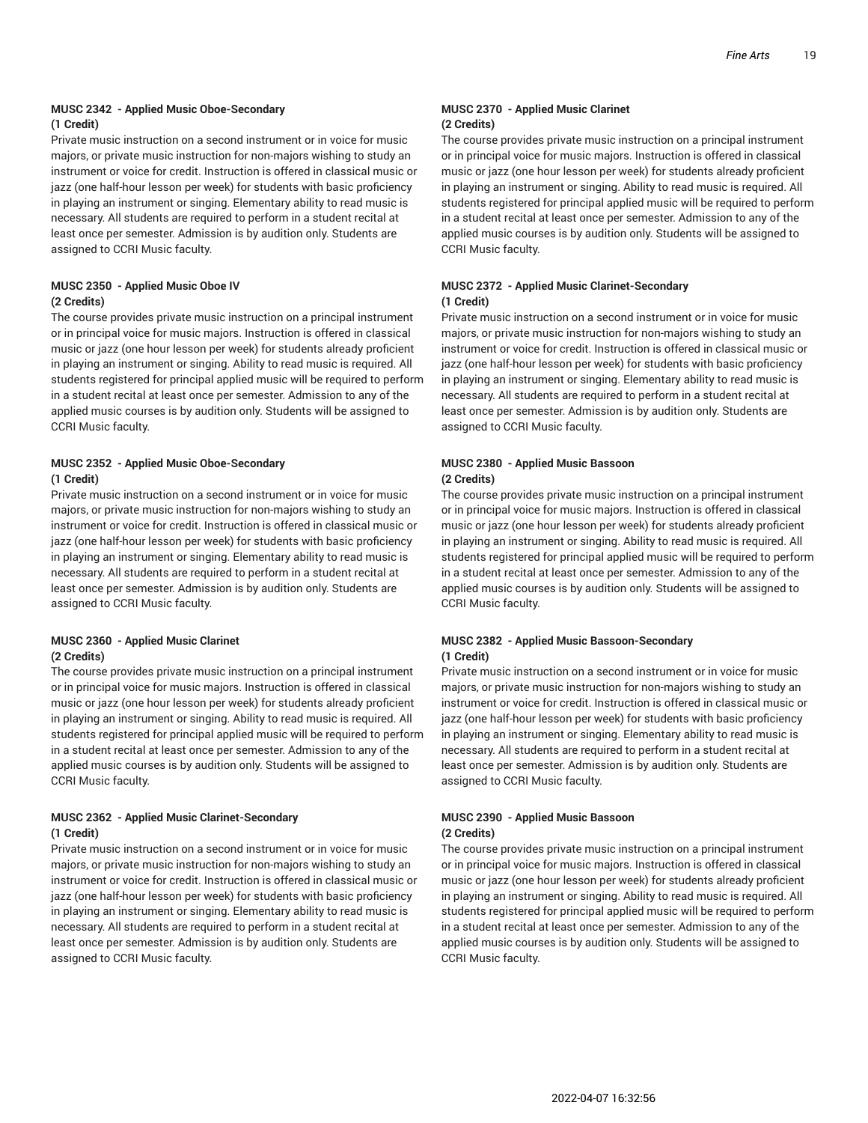#### **MUSC 2342 - Applied Music Oboe-Secondary (1 Credit)**

Private music instruction on a second instrument or in voice for music majors, or private music instruction for non-majors wishing to study an instrument or voice for credit. Instruction is offered in classical music or jazz (one half-hour lesson per week) for students with basic proficiency in playing an instrument or singing. Elementary ability to read music is necessary. All students are required to perform in a student recital at least once per semester. Admission is by audition only. Students are assigned to CCRI Music faculty.

#### **MUSC 2350 - Applied Music Oboe IV (2 Credits)**

The course provides private music instruction on a principal instrument or in principal voice for music majors. Instruction is offered in classical music or jazz (one hour lesson per week) for students already proficient in playing an instrument or singing. Ability to read music is required. All students registered for principal applied music will be required to perform in a student recital at least once per semester. Admission to any of the applied music courses is by audition only. Students will be assigned to CCRI Music faculty.

#### **MUSC 2352 - Applied Music Oboe-Secondary (1 Credit)**

Private music instruction on a second instrument or in voice for music majors, or private music instruction for non-majors wishing to study an instrument or voice for credit. Instruction is offered in classical music or jazz (one half-hour lesson per week) for students with basic proficiency in playing an instrument or singing. Elementary ability to read music is necessary. All students are required to perform in a student recital at least once per semester. Admission is by audition only. Students are assigned to CCRI Music faculty.

#### **MUSC 2360 - Applied Music Clarinet (2 Credits)**

The course provides private music instruction on a principal instrument or in principal voice for music majors. Instruction is offered in classical music or jazz (one hour lesson per week) for students already proficient in playing an instrument or singing. Ability to read music is required. All students registered for principal applied music will be required to perform in a student recital at least once per semester. Admission to any of the applied music courses is by audition only. Students will be assigned to CCRI Music faculty.

#### **MUSC 2362 - Applied Music Clarinet-Secondary (1 Credit)**

Private music instruction on a second instrument or in voice for music majors, or private music instruction for non-majors wishing to study an instrument or voice for credit. Instruction is offered in classical music or jazz (one half-hour lesson per week) for students with basic proficiency in playing an instrument or singing. Elementary ability to read music is necessary. All students are required to perform in a student recital at least once per semester. Admission is by audition only. Students are assigned to CCRI Music faculty.

#### **MUSC 2370 - Applied Music Clarinet (2 Credits)**

The course provides private music instruction on a principal instrument or in principal voice for music majors. Instruction is offered in classical music or jazz (one hour lesson per week) for students already proficient in playing an instrument or singing. Ability to read music is required. All students registered for principal applied music will be required to perform in a student recital at least once per semester. Admission to any of the applied music courses is by audition only. Students will be assigned to CCRI Music faculty.

#### **MUSC 2372 - Applied Music Clarinet-Secondary (1 Credit)**

Private music instruction on a second instrument or in voice for music majors, or private music instruction for non-majors wishing to study an instrument or voice for credit. Instruction is offered in classical music or jazz (one half-hour lesson per week) for students with basic proficiency in playing an instrument or singing. Elementary ability to read music is necessary. All students are required to perform in a student recital at least once per semester. Admission is by audition only. Students are assigned to CCRI Music faculty.

#### **MUSC 2380 - Applied Music Bassoon (2 Credits)**

The course provides private music instruction on a principal instrument or in principal voice for music majors. Instruction is offered in classical music or jazz (one hour lesson per week) for students already proficient in playing an instrument or singing. Ability to read music is required. All students registered for principal applied music will be required to perform in a student recital at least once per semester. Admission to any of the applied music courses is by audition only. Students will be assigned to CCRI Music faculty.

#### **MUSC 2382 - Applied Music Bassoon-Secondary (1 Credit)**

Private music instruction on a second instrument or in voice for music majors, or private music instruction for non-majors wishing to study an instrument or voice for credit. Instruction is offered in classical music or jazz (one half-hour lesson per week) for students with basic proficiency in playing an instrument or singing. Elementary ability to read music is necessary. All students are required to perform in a student recital at least once per semester. Admission is by audition only. Students are assigned to CCRI Music faculty.

#### **MUSC 2390 - Applied Music Bassoon (2 Credits)**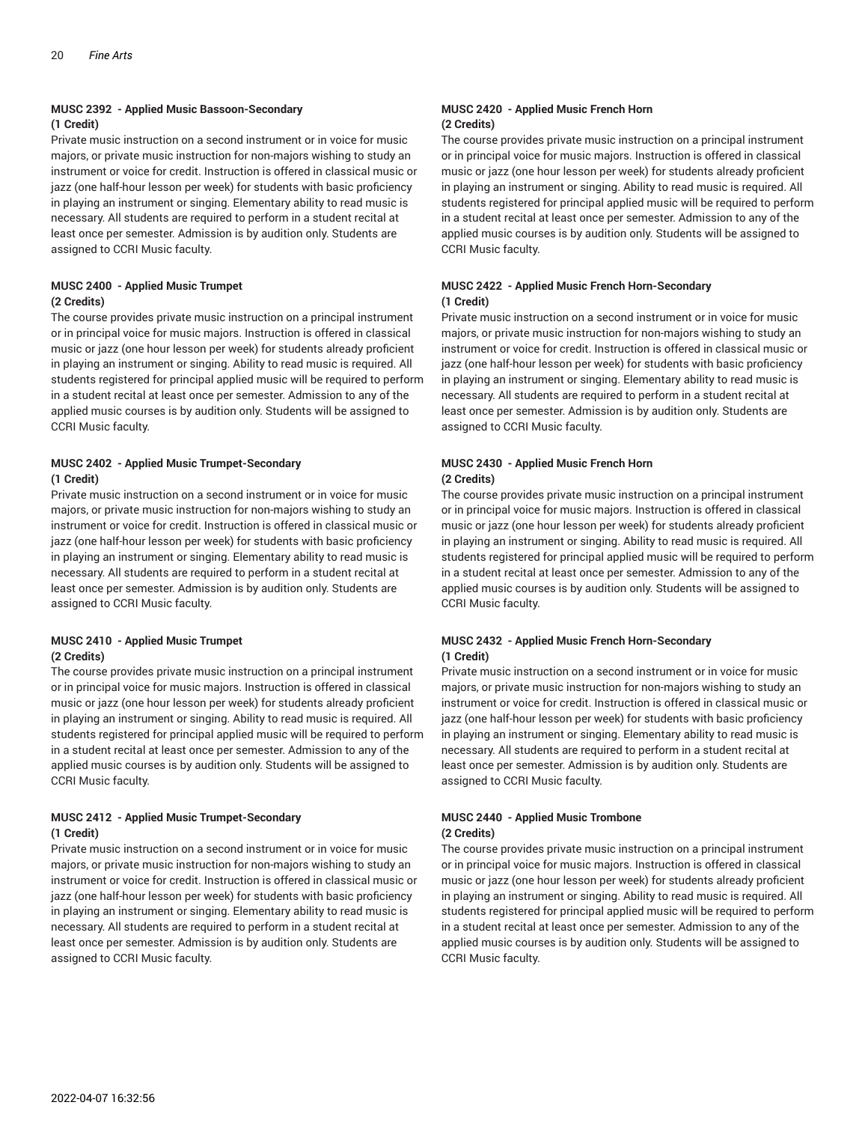#### **MUSC 2392 - Applied Music Bassoon-Secondary (1 Credit)**

Private music instruction on a second instrument or in voice for music majors, or private music instruction for non-majors wishing to study an instrument or voice for credit. Instruction is offered in classical music or jazz (one half-hour lesson per week) for students with basic proficiency in playing an instrument or singing. Elementary ability to read music is necessary. All students are required to perform in a student recital at least once per semester. Admission is by audition only. Students are assigned to CCRI Music faculty.

#### **MUSC 2400 - Applied Music Trumpet (2 Credits)**

The course provides private music instruction on a principal instrument or in principal voice for music majors. Instruction is offered in classical music or jazz (one hour lesson per week) for students already proficient in playing an instrument or singing. Ability to read music is required. All students registered for principal applied music will be required to perform in a student recital at least once per semester. Admission to any of the applied music courses is by audition only. Students will be assigned to CCRI Music faculty.

#### **MUSC 2402 - Applied Music Trumpet-Secondary (1 Credit)**

Private music instruction on a second instrument or in voice for music majors, or private music instruction for non-majors wishing to study an instrument or voice for credit. Instruction is offered in classical music or jazz (one half-hour lesson per week) for students with basic proficiency in playing an instrument or singing. Elementary ability to read music is necessary. All students are required to perform in a student recital at least once per semester. Admission is by audition only. Students are assigned to CCRI Music faculty.

#### **MUSC 2410 - Applied Music Trumpet (2 Credits)**

The course provides private music instruction on a principal instrument or in principal voice for music majors. Instruction is offered in classical music or jazz (one hour lesson per week) for students already proficient in playing an instrument or singing. Ability to read music is required. All students registered for principal applied music will be required to perform in a student recital at least once per semester. Admission to any of the applied music courses is by audition only. Students will be assigned to CCRI Music faculty.

#### **MUSC 2412 - Applied Music Trumpet-Secondary (1 Credit)**

Private music instruction on a second instrument or in voice for music majors, or private music instruction for non-majors wishing to study an instrument or voice for credit. Instruction is offered in classical music or jazz (one half-hour lesson per week) for students with basic proficiency in playing an instrument or singing. Elementary ability to read music is necessary. All students are required to perform in a student recital at least once per semester. Admission is by audition only. Students are assigned to CCRI Music faculty.

#### **MUSC 2420 - Applied Music French Horn (2 Credits)**

The course provides private music instruction on a principal instrument or in principal voice for music majors. Instruction is offered in classical music or jazz (one hour lesson per week) for students already proficient in playing an instrument or singing. Ability to read music is required. All students registered for principal applied music will be required to perform in a student recital at least once per semester. Admission to any of the applied music courses is by audition only. Students will be assigned to CCRI Music faculty.

#### **MUSC 2422 - Applied Music French Horn-Secondary (1 Credit)**

Private music instruction on a second instrument or in voice for music majors, or private music instruction for non-majors wishing to study an instrument or voice for credit. Instruction is offered in classical music or jazz (one half-hour lesson per week) for students with basic proficiency in playing an instrument or singing. Elementary ability to read music is necessary. All students are required to perform in a student recital at least once per semester. Admission is by audition only. Students are assigned to CCRI Music faculty.

#### **MUSC 2430 - Applied Music French Horn (2 Credits)**

The course provides private music instruction on a principal instrument or in principal voice for music majors. Instruction is offered in classical music or jazz (one hour lesson per week) for students already proficient in playing an instrument or singing. Ability to read music is required. All students registered for principal applied music will be required to perform in a student recital at least once per semester. Admission to any of the applied music courses is by audition only. Students will be assigned to CCRI Music faculty.

#### **MUSC 2432 - Applied Music French Horn-Secondary (1 Credit)**

Private music instruction on a second instrument or in voice for music majors, or private music instruction for non-majors wishing to study an instrument or voice for credit. Instruction is offered in classical music or jazz (one half-hour lesson per week) for students with basic proficiency in playing an instrument or singing. Elementary ability to read music is necessary. All students are required to perform in a student recital at least once per semester. Admission is by audition only. Students are assigned to CCRI Music faculty.

#### **MUSC 2440 - Applied Music Trombone (2 Credits)**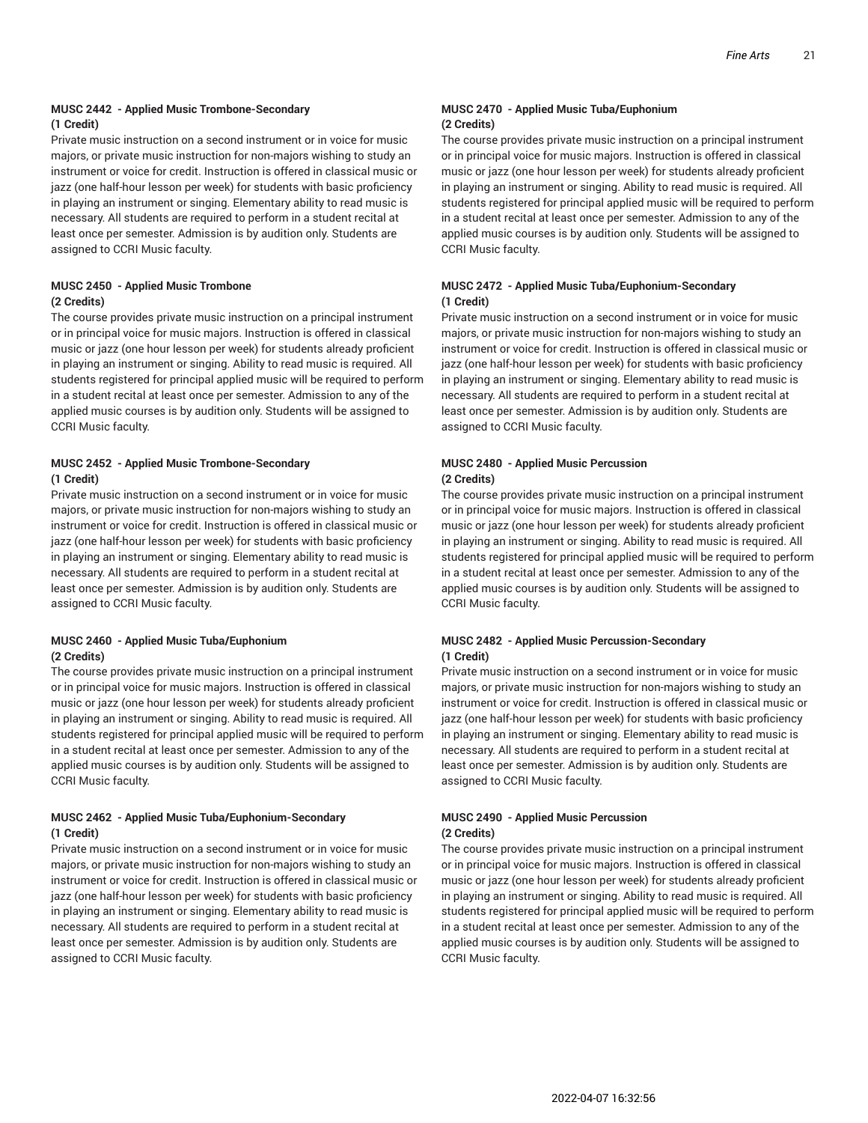#### **MUSC 2442 - Applied Music Trombone-Secondary (1 Credit)**

Private music instruction on a second instrument or in voice for music majors, or private music instruction for non-majors wishing to study an instrument or voice for credit. Instruction is offered in classical music or jazz (one half-hour lesson per week) for students with basic proficiency in playing an instrument or singing. Elementary ability to read music is necessary. All students are required to perform in a student recital at least once per semester. Admission is by audition only. Students are assigned to CCRI Music faculty.

#### **MUSC 2450 - Applied Music Trombone (2 Credits)**

The course provides private music instruction on a principal instrument or in principal voice for music majors. Instruction is offered in classical music or jazz (one hour lesson per week) for students already proficient in playing an instrument or singing. Ability to read music is required. All students registered for principal applied music will be required to perform in a student recital at least once per semester. Admission to any of the applied music courses is by audition only. Students will be assigned to CCRI Music faculty.

#### **MUSC 2452 - Applied Music Trombone-Secondary (1 Credit)**

Private music instruction on a second instrument or in voice for music majors, or private music instruction for non-majors wishing to study an instrument or voice for credit. Instruction is offered in classical music or jazz (one half-hour lesson per week) for students with basic proficiency in playing an instrument or singing. Elementary ability to read music is necessary. All students are required to perform in a student recital at least once per semester. Admission is by audition only. Students are assigned to CCRI Music faculty.

#### **MUSC 2460 - Applied Music Tuba/Euphonium (2 Credits)**

The course provides private music instruction on a principal instrument or in principal voice for music majors. Instruction is offered in classical music or jazz (one hour lesson per week) for students already proficient in playing an instrument or singing. Ability to read music is required. All students registered for principal applied music will be required to perform in a student recital at least once per semester. Admission to any of the applied music courses is by audition only. Students will be assigned to CCRI Music faculty.

#### **MUSC 2462 - Applied Music Tuba/Euphonium-Secondary (1 Credit)**

Private music instruction on a second instrument or in voice for music majors, or private music instruction for non-majors wishing to study an instrument or voice for credit. Instruction is offered in classical music or jazz (one half-hour lesson per week) for students with basic proficiency in playing an instrument or singing. Elementary ability to read music is necessary. All students are required to perform in a student recital at least once per semester. Admission is by audition only. Students are assigned to CCRI Music faculty.

#### **MUSC 2470 - Applied Music Tuba/Euphonium (2 Credits)**

The course provides private music instruction on a principal instrument or in principal voice for music majors. Instruction is offered in classical music or jazz (one hour lesson per week) for students already proficient in playing an instrument or singing. Ability to read music is required. All students registered for principal applied music will be required to perform in a student recital at least once per semester. Admission to any of the applied music courses is by audition only. Students will be assigned to CCRI Music faculty.

#### **MUSC 2472 - Applied Music Tuba/Euphonium-Secondary (1 Credit)**

Private music instruction on a second instrument or in voice for music majors, or private music instruction for non-majors wishing to study an instrument or voice for credit. Instruction is offered in classical music or jazz (one half-hour lesson per week) for students with basic proficiency in playing an instrument or singing. Elementary ability to read music is necessary. All students are required to perform in a student recital at least once per semester. Admission is by audition only. Students are assigned to CCRI Music faculty.

#### **MUSC 2480 - Applied Music Percussion (2 Credits)**

The course provides private music instruction on a principal instrument or in principal voice for music majors. Instruction is offered in classical music or jazz (one hour lesson per week) for students already proficient in playing an instrument or singing. Ability to read music is required. All students registered for principal applied music will be required to perform in a student recital at least once per semester. Admission to any of the applied music courses is by audition only. Students will be assigned to CCRI Music faculty.

#### **MUSC 2482 - Applied Music Percussion-Secondary (1 Credit)**

Private music instruction on a second instrument or in voice for music majors, or private music instruction for non-majors wishing to study an instrument or voice for credit. Instruction is offered in classical music or jazz (one half-hour lesson per week) for students with basic proficiency in playing an instrument or singing. Elementary ability to read music is necessary. All students are required to perform in a student recital at least once per semester. Admission is by audition only. Students are assigned to CCRI Music faculty.

#### **MUSC 2490 - Applied Music Percussion (2 Credits)**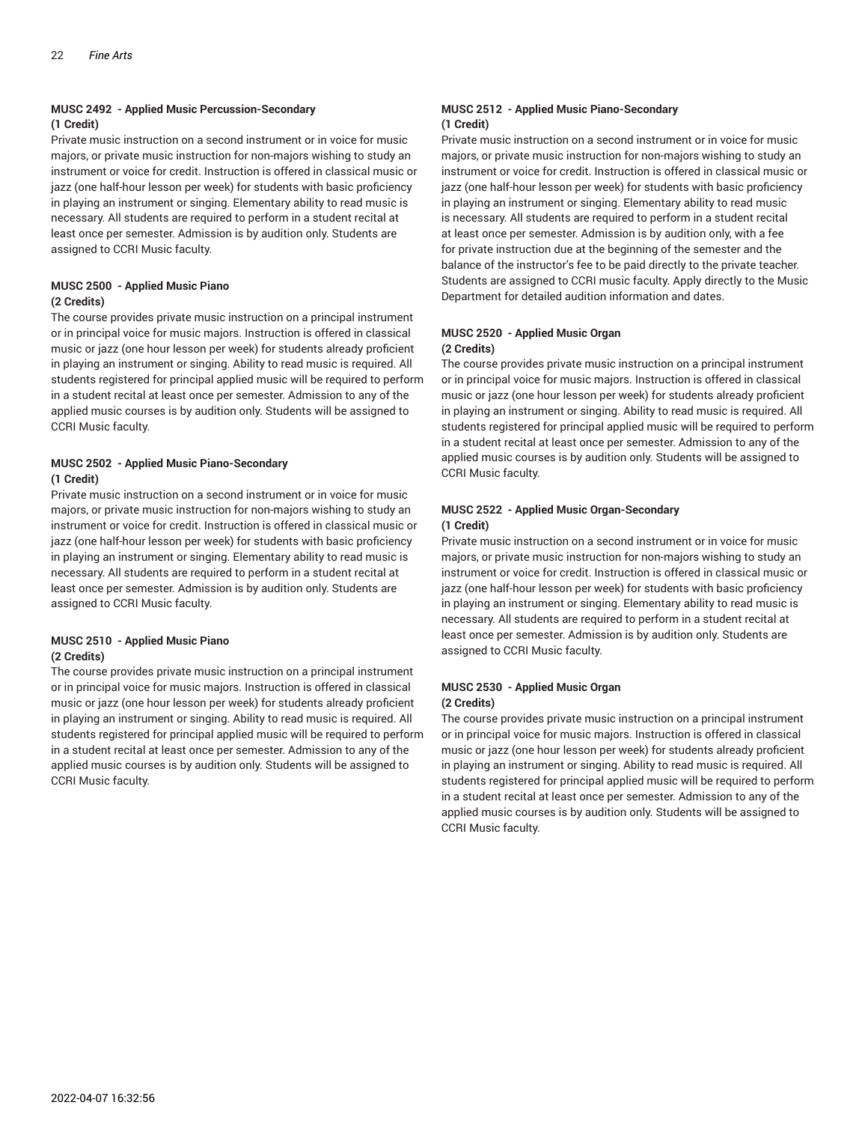#### **MUSC 2492 - Applied Music Percussion-Secondary (1 Credit)**

Private music instruction on a second instrument or in voice for music majors, or private music instruction for non-majors wishing to study an instrument or voice for credit. Instruction is offered in classical music or jazz (one half-hour lesson per week) for students with basic proficiency in playing an instrument or singing. Elementary ability to read music is necessary. All students are required to perform in a student recital at least once per semester. Admission is by audition only. Students are assigned to CCRI Music faculty.

#### **MUSC 2500 - Applied Music Piano (2 Credits)**

The course provides private music instruction on a principal instrument or in principal voice for music majors. Instruction is offered in classical music or jazz (one hour lesson per week) for students already proficient in playing an instrument or singing. Ability to read music is required. All students registered for principal applied music will be required to perform in a student recital at least once per semester. Admission to any of the applied music courses is by audition only. Students will be assigned to CCRI Music faculty.

#### **MUSC 2502 - Applied Music Piano-Secondary (1 Credit)**

Private music instruction on a second instrument or in voice for music majors, or private music instruction for non-majors wishing to study an instrument or voice for credit. Instruction is offered in classical music or jazz (one half-hour lesson per week) for students with basic proficiency in playing an instrument or singing. Elementary ability to read music is necessary. All students are required to perform in a student recital at least once per semester. Admission is by audition only. Students are assigned to CCRI Music faculty.

#### **MUSC 2510 - Applied Music Piano (2 Credits)**

The course provides private music instruction on a principal instrument or in principal voice for music majors. Instruction is offered in classical music or jazz (one hour lesson per week) for students already proficient in playing an instrument or singing. Ability to read music is required. All students registered for principal applied music will be required to perform in a student recital at least once per semester. Admission to any of the applied music courses is by audition only. Students will be assigned to CCRI Music faculty.

#### **MUSC 2512 - Applied Music Piano-Secondary (1 Credit)**

Private music instruction on a second instrument or in voice for music majors, or private music instruction for non-majors wishing to study an instrument or voice for credit. Instruction is offered in classical music or jazz (one half-hour lesson per week) for students with basic proficiency in playing an instrument or singing. Elementary ability to read music is necessary. All students are required to perform in a student recital at least once per semester. Admission is by audition only, with a fee for private instruction due at the beginning of the semester and the balance of the instructor's fee to be paid directly to the private teacher. Students are assigned to CCRI music faculty. Apply directly to the Music Department for detailed audition information and dates.

#### **MUSC 2520 - Applied Music Organ (2 Credits)**

The course provides private music instruction on a principal instrument or in principal voice for music majors. Instruction is offered in classical music or jazz (one hour lesson per week) for students already proficient in playing an instrument or singing. Ability to read music is required. All students registered for principal applied music will be required to perform in a student recital at least once per semester. Admission to any of the applied music courses is by audition only. Students will be assigned to CCRI Music faculty.

#### **MUSC 2522 - Applied Music Organ-Secondary (1 Credit)**

Private music instruction on a second instrument or in voice for music majors, or private music instruction for non-majors wishing to study an instrument or voice for credit. Instruction is offered in classical music or jazz (one half-hour lesson per week) for students with basic proficiency in playing an instrument or singing. Elementary ability to read music is necessary. All students are required to perform in a student recital at least once per semester. Admission is by audition only. Students are assigned to CCRI Music faculty.

#### **MUSC 2530 - Applied Music Organ (2 Credits)**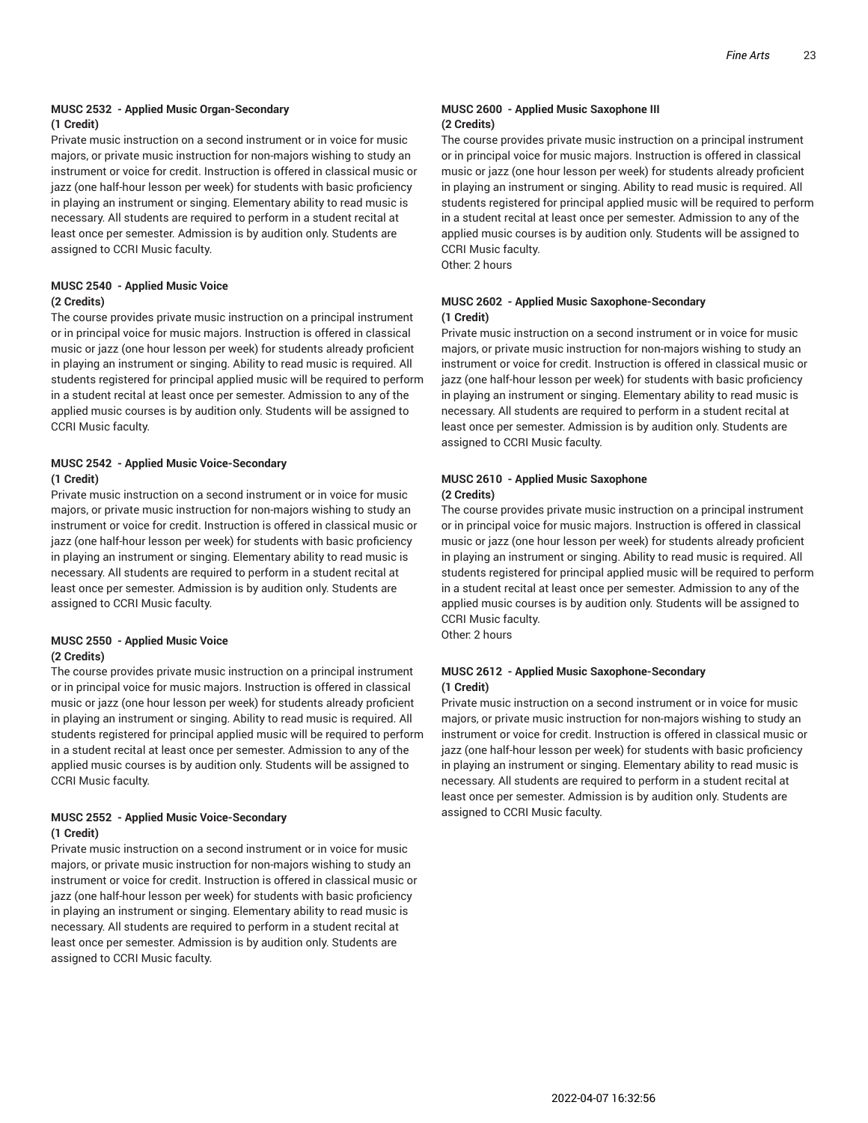#### **MUSC 2532 - Applied Music Organ-Secondary (1 Credit)**

Private music instruction on a second instrument or in voice for music majors, or private music instruction for non-majors wishing to study an instrument or voice for credit. Instruction is offered in classical music or jazz (one half-hour lesson per week) for students with basic proficiency in playing an instrument or singing. Elementary ability to read music is necessary. All students are required to perform in a student recital at least once per semester. Admission is by audition only. Students are assigned to CCRI Music faculty.

#### **MUSC 2540 - Applied Music Voice (2 Credits)**

The course provides private music instruction on a principal instrument or in principal voice for music majors. Instruction is offered in classical music or jazz (one hour lesson per week) for students already proficient in playing an instrument or singing. Ability to read music is required. All students registered for principal applied music will be required to perform in a student recital at least once per semester. Admission to any of the applied music courses is by audition only. Students will be assigned to CCRI Music faculty.

#### **MUSC 2542 - Applied Music Voice-Secondary (1 Credit)**

Private music instruction on a second instrument or in voice for music majors, or private music instruction for non-majors wishing to study an instrument or voice for credit. Instruction is offered in classical music or jazz (one half-hour lesson per week) for students with basic proficiency in playing an instrument or singing. Elementary ability to read music is necessary. All students are required to perform in a student recital at least once per semester. Admission is by audition only. Students are assigned to CCRI Music faculty.

#### **MUSC 2550 - Applied Music Voice (2 Credits)**

The course provides private music instruction on a principal instrument or in principal voice for music majors. Instruction is offered in classical music or jazz (one hour lesson per week) for students already proficient in playing an instrument or singing. Ability to read music is required. All students registered for principal applied music will be required to perform in a student recital at least once per semester. Admission to any of the applied music courses is by audition only. Students will be assigned to CCRI Music faculty.

#### **MUSC 2552 - Applied Music Voice-Secondary (1 Credit)**

Private music instruction on a second instrument or in voice for music majors, or private music instruction for non-majors wishing to study an instrument or voice for credit. Instruction is offered in classical music or jazz (one half-hour lesson per week) for students with basic proficiency in playing an instrument or singing. Elementary ability to read music is necessary. All students are required to perform in a student recital at least once per semester. Admission is by audition only. Students are assigned to CCRI Music faculty.

#### **MUSC 2600 - Applied Music Saxophone III (2 Credits)**

The course provides private music instruction on a principal instrument or in principal voice for music majors. Instruction is offered in classical music or jazz (one hour lesson per week) for students already proficient in playing an instrument or singing. Ability to read music is required. All students registered for principal applied music will be required to perform in a student recital at least once per semester. Admission to any of the applied music courses is by audition only. Students will be assigned to CCRI Music faculty.

Other: 2 hours

#### **MUSC 2602 - Applied Music Saxophone-Secondary (1 Credit)**

Private music instruction on a second instrument or in voice for music majors, or private music instruction for non-majors wishing to study an instrument or voice for credit. Instruction is offered in classical music or jazz (one half-hour lesson per week) for students with basic proficiency in playing an instrument or singing. Elementary ability to read music is necessary. All students are required to perform in a student recital at least once per semester. Admission is by audition only. Students are assigned to CCRI Music faculty.

#### **MUSC 2610 - Applied Music Saxophone (2 Credits)**

The course provides private music instruction on a principal instrument or in principal voice for music majors. Instruction is offered in classical music or jazz (one hour lesson per week) for students already proficient in playing an instrument or singing. Ability to read music is required. All students registered for principal applied music will be required to perform in a student recital at least once per semester. Admission to any of the applied music courses is by audition only. Students will be assigned to CCRI Music faculty.

Other: 2 hours

#### **MUSC 2612 - Applied Music Saxophone-Secondary (1 Credit)**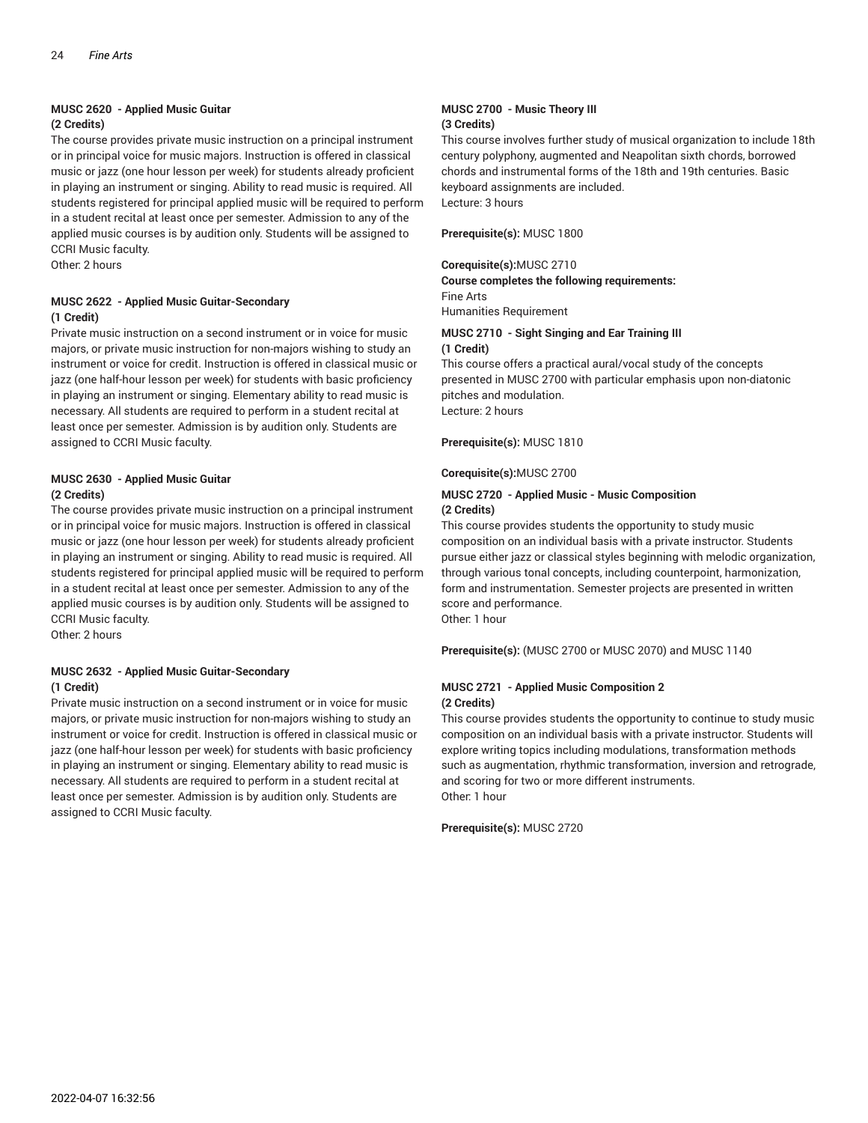### **MUSC 2620 - Applied Music Guitar**

#### **(2 Credits)**

The course provides private music instruction on a principal instrument or in principal voice for music majors. Instruction is offered in classical music or jazz (one hour lesson per week) for students already proficient in playing an instrument or singing. Ability to read music is required. All students registered for principal applied music will be required to perform in a student recital at least once per semester. Admission to any of the applied music courses is by audition only. Students will be assigned to CCRI Music faculty.

Other: 2 hours

#### **MUSC 2622 - Applied Music Guitar-Secondary (1 Credit)**

Private music instruction on a second instrument or in voice for music majors, or private music instruction for non-majors wishing to study an instrument or voice for credit. Instruction is offered in classical music or jazz (one half-hour lesson per week) for students with basic proficiency in playing an instrument or singing. Elementary ability to read music is necessary. All students are required to perform in a student recital at least once per semester. Admission is by audition only. Students are assigned to CCRI Music faculty.

#### **MUSC 2630 - Applied Music Guitar (2 Credits)**

The course provides private music instruction on a principal instrument or in principal voice for music majors. Instruction is offered in classical music or jazz (one hour lesson per week) for students already proficient in playing an instrument or singing. Ability to read music is required. All students registered for principal applied music will be required to perform in a student recital at least once per semester. Admission to any of the applied music courses is by audition only. Students will be assigned to CCRI Music faculty.

Other: 2 hours

#### **MUSC 2632 - Applied Music Guitar-Secondary (1 Credit)**

Private music instruction on a second instrument or in voice for music majors, or private music instruction for non-majors wishing to study an instrument or voice for credit. Instruction is offered in classical music or jazz (one half-hour lesson per week) for students with basic proficiency in playing an instrument or singing. Elementary ability to read music is necessary. All students are required to perform in a student recital at least once per semester. Admission is by audition only. Students are assigned to CCRI Music faculty.

#### **MUSC 2700 - Music Theory III (3 Credits)**

This course involves further study of musical organization to include 18th century polyphony, augmented and Neapolitan sixth chords, borrowed chords and instrumental forms of the 18th and 19th centuries. Basic keyboard assignments are included. Lecture: 3 hours

**Prerequisite(s):** MUSC 1800

#### **Corequisite(s):**MUSC 2710

**Course completes the following requirements:** Fine Arts Humanities Requirement

#### **MUSC 2710 - Sight Singing and Ear Training III (1 Credit)**

This course offers a practical aural/vocal study of the concepts presented in MUSC 2700 with particular emphasis upon non-diatonic pitches and modulation. Lecture: 2 hours

**Prerequisite(s):** MUSC 1810

#### **Corequisite(s):**MUSC 2700

#### **MUSC 2720 - Applied Music - Music Composition (2 Credits)**

This course provides students the opportunity to study music composition on an individual basis with a private instructor. Students pursue either jazz or classical styles beginning with melodic organization, through various tonal concepts, including counterpoint, harmonization, form and instrumentation. Semester projects are presented in written score and performance. Other 1 hour

**Prerequisite(s):** (MUSC 2700 or MUSC 2070) and MUSC 1140

#### **MUSC 2721 - Applied Music Composition 2 (2 Credits)**

This course provides students the opportunity to continue to study music composition on an individual basis with a private instructor. Students will explore writing topics including modulations, transformation methods such as augmentation, rhythmic transformation, inversion and retrograde, and scoring for two or more different instruments. Other: 1 hour

**Prerequisite(s):** MUSC 2720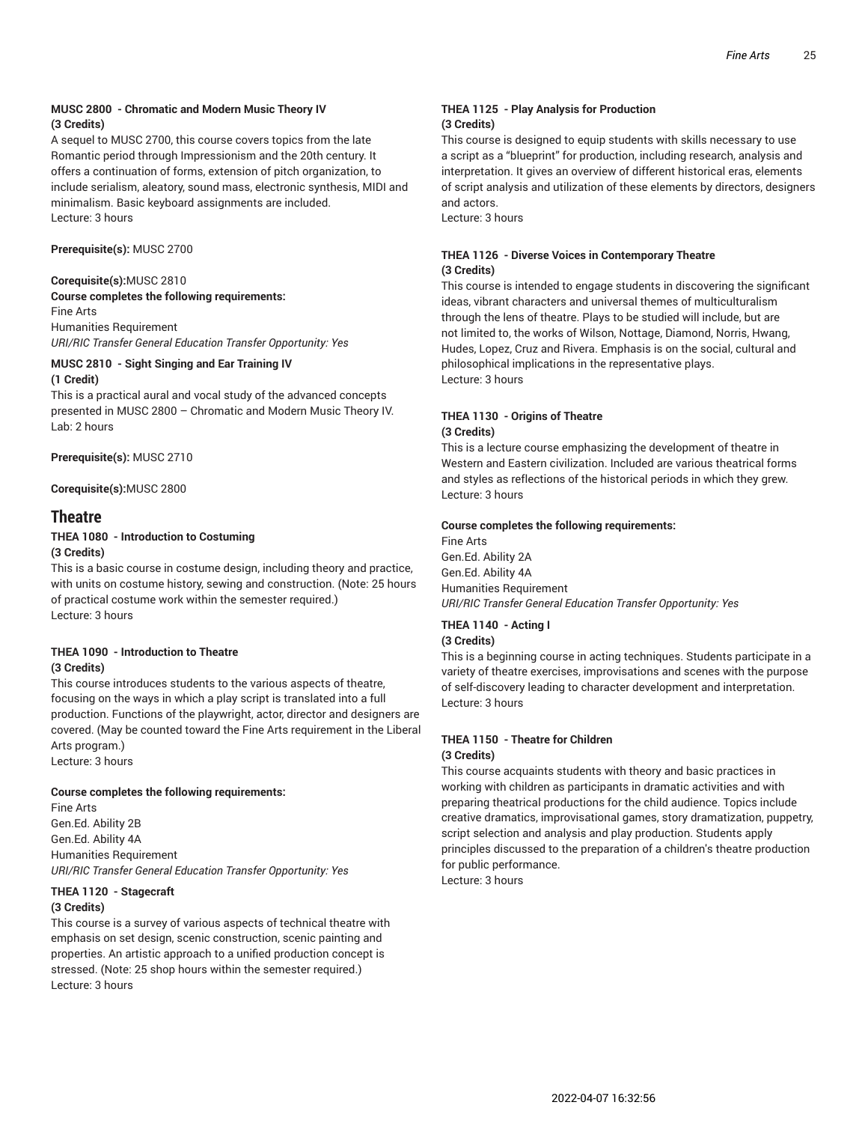#### **MUSC 2800 - Chromatic and Modern Music Theory IV (3 Credits)**

A sequel to MUSC 2700, this course covers topics from the late Romantic period through Impressionism and the 20th century. It offers a continuation of forms, extension of pitch organization, to include serialism, aleatory, sound mass, electronic synthesis, MIDI and minimalism. Basic keyboard assignments are included. Lecture: 3 hours

**Prerequisite(s):** MUSC 2700

#### **Corequisite(s):**MUSC 2810

**Course completes the following requirements:** Fine Arts Humanities Requirement *URI/RIC Transfer General Education Transfer Opportunity: Yes*

#### **MUSC 2810 - Sight Singing and Ear Training IV (1 Credit)**

This is a practical aural and vocal study of the advanced concepts presented in MUSC 2800 – Chromatic and Modern Music Theory IV. Lab: 2 hours

**Prerequisite(s):** MUSC 2710

**Corequisite(s):**MUSC 2800

#### **Theatre**

#### **THEA 1080 - Introduction to Costuming (3 Credits)**

This is a basic course in costume design, including theory and practice, with units on costume history, sewing and construction. (Note: 25 hours of practical costume work within the semester required.) Lecture: 3 hours

#### **THEA 1090 - Introduction to Theatre (3 Credits)**

This course introduces students to the various aspects of theatre, focusing on the ways in which a play script is translated into a full production. Functions of the playwright, actor, director and designers are covered. (May be counted toward the Fine Arts requirement in the Liberal Arts program.)

Lecture: 3 hours

#### **Course completes the following requirements:**

Fine Arts Gen.Ed. Ability 2B Gen.Ed. Ability 4A Humanities Requirement *URI/RIC Transfer General Education Transfer Opportunity: Yes*

#### **THEA 1120 - Stagecraft (3 Credits)**

This course is a survey of various aspects of technical theatre with emphasis on set design, scenic construction, scenic painting and properties. An artistic approach to a unified production concept is stressed. (Note: 25 shop hours within the semester required.) Lecture: 3 hours

#### **THEA 1125 - Play Analysis for Production (3 Credits)**

This course is designed to equip students with skills necessary to use a script as a "blueprint" for production, including research, analysis and interpretation. It gives an overview of different historical eras, elements of script analysis and utilization of these elements by directors, designers and actors.

Lecture: 3 hours

#### **THEA 1126 - Diverse Voices in Contemporary Theatre (3 Credits)**

This course is intended to engage students in discovering the significant ideas, vibrant characters and universal themes of multiculturalism through the lens of theatre. Plays to be studied will include, but are not limited to, the works of Wilson, Nottage, Diamond, Norris, Hwang, Hudes, Lopez, Cruz and Rivera. Emphasis is on the social, cultural and philosophical implications in the representative plays. Lecture: 3 hours

#### **THEA 1130 - Origins of Theatre (3 Credits)**

This is a lecture course emphasizing the development of theatre in Western and Eastern civilization. Included are various theatrical forms and styles as reflections of the historical periods in which they grew. Lecture: 3 hours

#### **Course completes the following requirements:**

Fine Arts Gen.Ed. Ability 2A Gen.Ed. Ability 4A Humanities Requirement *URI/RIC Transfer General Education Transfer Opportunity: Yes*

### **THEA 1140 - Acting I**

### **(3 Credits)**

This is a beginning course in acting techniques. Students participate in a variety of theatre exercises, improvisations and scenes with the purpose of self-discovery leading to character development and interpretation. Lecture: 3 hours

#### **THEA 1150 - Theatre for Children (3 Credits)**

This course acquaints students with theory and basic practices in working with children as participants in dramatic activities and with preparing theatrical productions for the child audience. Topics include creative dramatics, improvisational games, story dramatization, puppetry, script selection and analysis and play production. Students apply principles discussed to the preparation of a children's theatre production for public performance.

Lecture: 3 hours